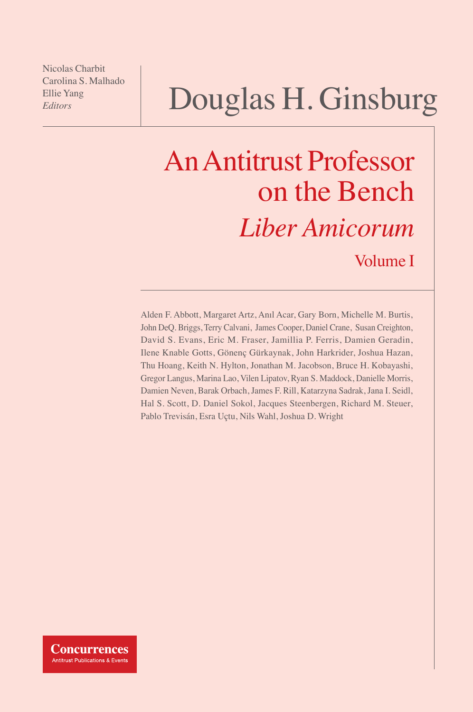Nicolas Charbit Carolina S. Malhado Ellie Yang *Editors*

# Douglas H. Ginsburg

# An Antitrust Professor on the Bench *Liber Amicorum* Volume I

Alden F. Abbott, Margaret Artz, Anıl Acar, Gary Born, Michelle M. Burtis, John DeQ. Briggs, Terry Calvani, James Cooper, Daniel Crane, Susan Creighton, David S. Evans, Eric M. Fraser, Jamillia P. Ferris, Damien Geradin, Ilene Knable Gotts, Gönenç Gürkaynak, John Harkrider, Joshua Hazan, Thu Hoang, Keith N. Hylton, Jonathan M. Jacobson, Bruce H. Kobayashi, Gregor Langus, Marina Lao, Vilen Lipatov, Ryan S. Maddock, Danielle Morris, Damien Neven, Barak Orbach, James F. Rill, Katarzyna Sadrak, Jana I. Seidl, Hal S. Scott, D. Daniel Sokol, Jacques Steenbergen, Richard M. Steuer, Pablo Trevisán, Esra Uçtu, Nils Wahl, Joshua D. Wright

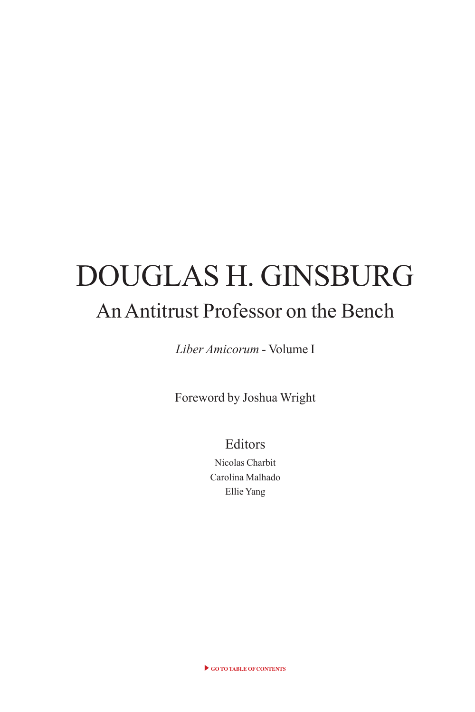# DOUGLAS H. GINSBURG An Antitrust Professor on the Bench

*Liber Amicorum* - Volume I

Foreword by Joshua Wright

Editors

Nicolas Charbit Carolina Malhado Ellie Yang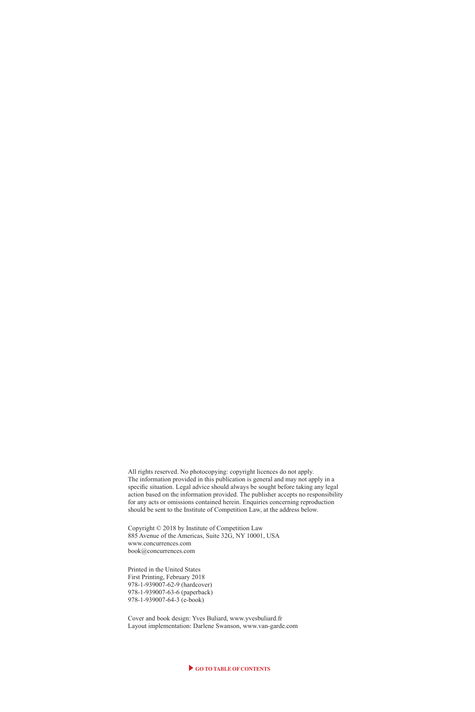All rights reserved. No photocopying: copyright licences do not apply. The information provided in this publication is general and may not apply in a specifc situation. Legal advice should always be sought before taking any legal action based on the information provided. The publisher accepts no responsibility for any acts or omissions contained herein. Enquiries concerning reproduction should be sent to the Institute of Competition Law, at the address below.

Copyright © 2018 by Institute of Competition Law 885 Avenue of the Americas, Suite 32G, NY 10001, USA www.concurrences.com book@concurrences.com

Printed in the United States First Printing, February 2018 978-1-939007-62-9 (hardcover) 978-1-939007-63-6 (paperback) 978-1-939007-64-3 (e-book)

Cover and book design: Yves Buliard, www.yvesbuliard.fr Layout implementation: Darlene Swanson, www.van-garde.com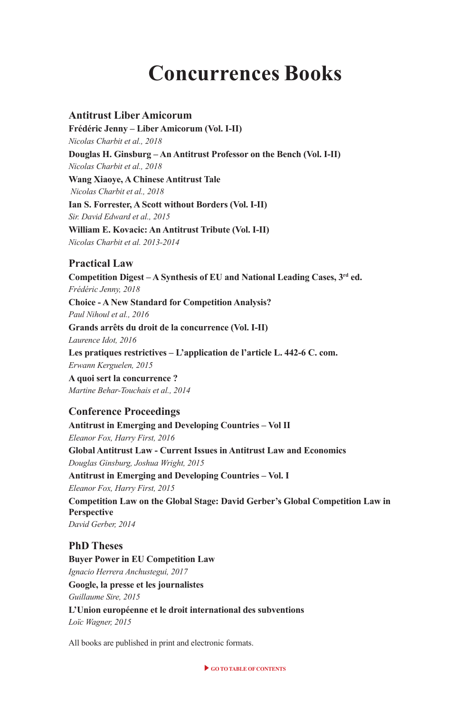## **Concurrences Books**

#### **Antitrust Liber Amicorum**

**Frédéric Jenny – Liber Amicorum (Vol. I-II)** *Nicolas Charbit et al., 2018* **Douglas H. Ginsburg – An Antitrust Professor on the Bench (Vol. I-II)** *Nicolas Charbit et al., 2018* **Wang Xiaoye, A Chinese Antitrust Tale**  *Nicolas Charbit et al., 2018* **Ian S. Forrester, A Scott without Borders (Vol. I-II)** *Sir. David Edward et al., 2015* **William E. Kovacic: An Antitrust Tribute (Vol. I-II)** *Nicolas Charbit et al. 2013-2014*

#### **Practical Law**

**Competition Digest – A Synthesis of EU and National Leading Cases, 3rd ed.** *Frédéric Jenny, 2018* **Choice - A New Standard for Competition Analysis?** *Paul Nihoul et al., 2016* **Grands arrêts du droit de la concurrence (Vol. I-II)** *Laurence Idot, 2016* **Les pratiques restrictives – L'application de l'article L. 442-6 C. com.** *Erwann Kerguelen, 2015* **A quoi sert la concurrence ?** *Martine Behar-Touchais et al., 2014*

#### **Conference Proceedings**

**Antitrust in Emerging and Developing Countries – Vol II** *Eleanor Fox, Harry First, 2016* **Global Antitrust Law - Current Issues in Antitrust Law and Economics** *Douglas Ginsburg, Joshua Wright, 2015* **Antitrust in Emerging and Developing Countries – Vol. I** *Eleanor Fox, Harry First, 2015* **Competition Law on the Global Stage: David Gerber's Global Competition Law in Perspective** *David Gerber, 2014*

#### **PhD Theses**

**Buyer Power in EU Competition Law** *Ignacio Herrera Anchustegui, 2017* **Google, la presse et les journalistes** *Guillaume Sire, 2015* **L'Union européenne et le droit international des subventions** *Loïc Wagner, 2015*

All books are published in print and electronic formats.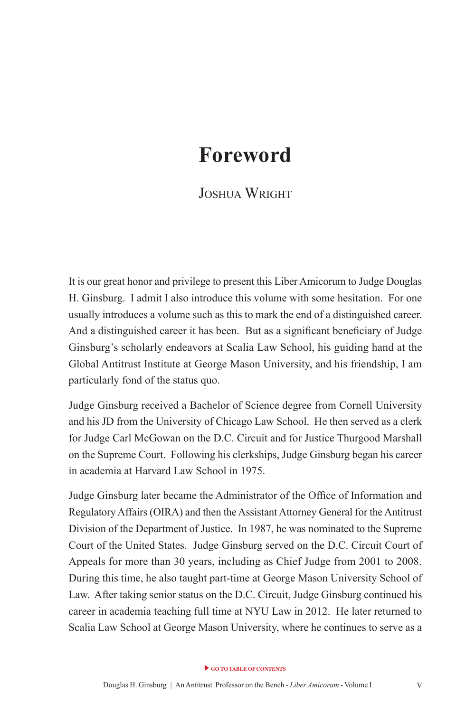## <span id="page-4-0"></span>**Foreword**

#### JOSHUA WRIGHT

It is our great honor and privilege to present this Liber Amicorum to Judge Douglas H. Ginsburg. I admit I also introduce this volume with some hesitation. For one usually introduces a volume such as this to mark the end of a distinguished career. And a distinguished career it has been. But as a signifcant benefciary of Judge Ginsburg's scholarly endeavors at Scalia Law School, his guiding hand at the Global Antitrust Institute at George Mason University, and his friendship, I am particularly fond of the status quo.

Judge Ginsburg received a Bachelor of Science degree from Cornell University and his JD from the University of Chicago Law School. He then served as a clerk for Judge Carl McGowan on the D.C. Circuit and for Justice Thurgood Marshall on the Supreme Court. Following his clerkships, Judge Ginsburg began his career in academia at Harvard Law School in 1975.

Judge Ginsburg later became the Administrator of the Offce of Information and Regulatory Affairs (OIRA) and then the Assistant Attorney General for the Antitrust Division of the Department of Justice. In 1987, he was nominated to the Supreme Court of the United States. Judge Ginsburg served on the D.C. Circuit Court of Appeals for more than 30 years, including as Chief Judge from 2001 to 2008. During this time, he also taught part-time at George Mason University School of Law. After taking senior status on the D.C. Circuit, Judge Ginsburg continued his career in academia teaching full time at NYU Law in 2012. He later returned to Scalia Law School at George Mason University, where he continues to serve as a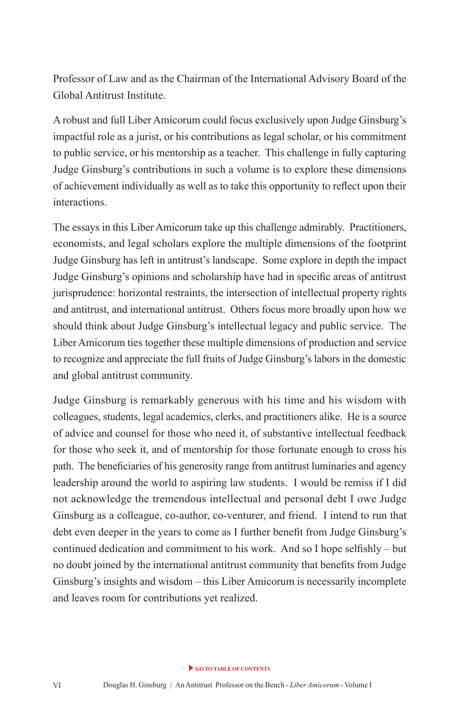Professor of Law and as the Chairman of the International Advisory Board of the Global Antitrust Institute.

A robust and full Liber Amicorum could focus exclusively upon Judge Ginsburg's impactful role as a jurist, or his contributions as legal scholar, or his commitment to public service, or his mentorship as a teacher. This challenge in fully capturing Judge Ginsburg's contributions in such a volume is to explore these dimensions of achievement individually as well as to take this opportunity to refect upon their interactions.

The essays in this Liber Amicorum take up this challenge admirably. Practitioners, economists, and legal scholars explore the multiple dimensions of the footprint Judge Ginsburg has left in antitrust's landscape. Some explore in depth the impact Judge Ginsburg's opinions and scholarship have had in specifc areas of antitrust jurisprudence: horizontal restraints, the intersection of intellectual property rights and antitrust, and international antitrust. Others focus more broadly upon how we should think about Judge Ginsburg's intellectual legacy and public service. The Liber Amicorum ties together these multiple dimensions of production and service to recognize and appreciate the full fruits of Judge Ginsburg's labors in the domestic and global antitrust community.

Judge Ginsburg is remarkably generous with his time and his wisdom with colleagues, students, legal academics, clerks, and practitioners alike. He is a source of advice and counsel for those who need it, of substantive intellectual feedback for those who seek it, and of mentorship for those fortunate enough to cross his path. The benefciaries of his generosity range from antitrust luminaries and agency leadership around the world to aspiring law students. I would be remiss if I did not acknowledge the tremendous intellectual and personal debt I owe Judge Ginsburg as a colleague, co-author, co-venturer, and friend. I intend to run that debt even deeper in the years to come as I further beneft from Judge Ginsburg's continued dedication and commitment to his work. And so I hope selfshly – but no doubt joined by the international antitrust community that benefts from Judge Ginsburg's insights and wisdom – this Liber Amicorum is necessarily incomplete and leaves room for contributions yet realized.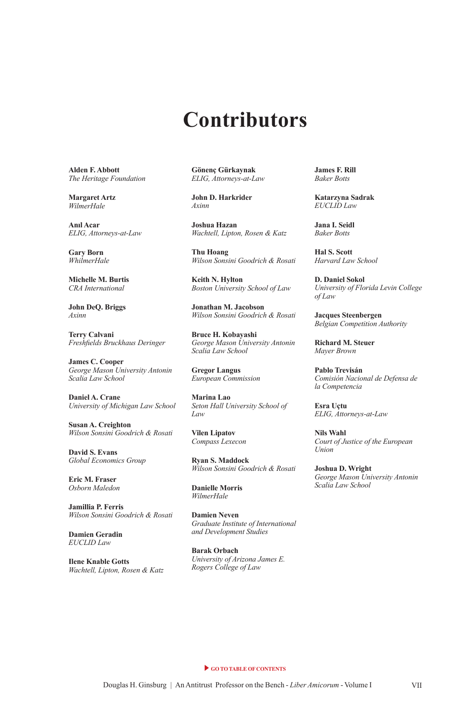## **Contributors**

<span id="page-6-0"></span>**Alden F. Abbott**  *The Heritage Foundation*

**Margaret Artz**  *WilmerHale*

**Anıl Acar**  *ELIG, Attorneys-at-Law*

**Gary Born**  *WhilmerHale*

**Michelle M. Burtis**  *CRA International*

**John DeQ. Briggs**  *Axinn*

**Terry Calvani**  *Freshfelds Bruckhaus Deringer*

**James C. Cooper**  *George Mason University Antonin Scalia Law School*

**Daniel A. Crane**  *University of Michigan Law School*

**Susan A. Creighton**  *Wilson Sonsini Goodrich & Rosati*

**David S. Evans**  *Global Economics Group*

**Eric M. Fraser**  *Osborn Maledon*

**Jamillia P. Ferris**  *Wilson Sonsini Goodrich & Rosati*

**Damien Geradin**  *EUCLID Law*

**Ilene Knable Gotts**  *Wachtell, Lipton, Rosen & Katz* **Gönenç Gürkaynak**  *ELIG, Attorneys-at-Law*

**John D. Harkrider**  *Axinn*

**Joshua Hazan**  *Wachtell, Lipton, Rosen & Katz*

**Thu Hoang**  *Wilson Sonsini Goodrich & Rosati*

**Keith N. Hylton**  *Boston University School of Law*

**Jonathan M. Jacobson**  *Wilson Sonsini Goodrich & Rosati*

**Bruce H. Kobayashi**  *George Mason University Antonin Scalia Law School*

**Gregor Langus**  *European Commission*

**Marina Lao**  *Seton Hall University School of Law*

**Vilen Lipatov**  *Compass Lexecon*

**Ryan S. Maddock**  *Wilson Sonsini Goodrich & Rosati*

**Danielle Morris**  *WilmerHale*

**Damien Neven**  *Graduate Institute of International and Development Studies*

**Barak Orbach**  *University of Arizona James E. Rogers College of Law*

**James F. Rill**  *Baker Botts*

**Katarzyna Sadrak**  *EUCLID Law*

**Jana I. Seidl**  *Baker Botts*

**Hal S. Scott**  *Harvard Law School*

**D. Daniel Sokol**  *University of Florida Levin College of Law*

**Jacques Steenbergen**  *Belgian Competition Authority*

**Richard M. Steuer**  *Mayer Brown*

**Pablo Trevisán**  *Comisión Nacional de Defensa de la Competencia*

**Esra Uçtu**  *ELIG, Attorneys-at-Law*

**Nils Wahl**  *Court of Justice of the European Union*

**Joshua D. Wright**  *George Mason University Antonin Scalia Law School*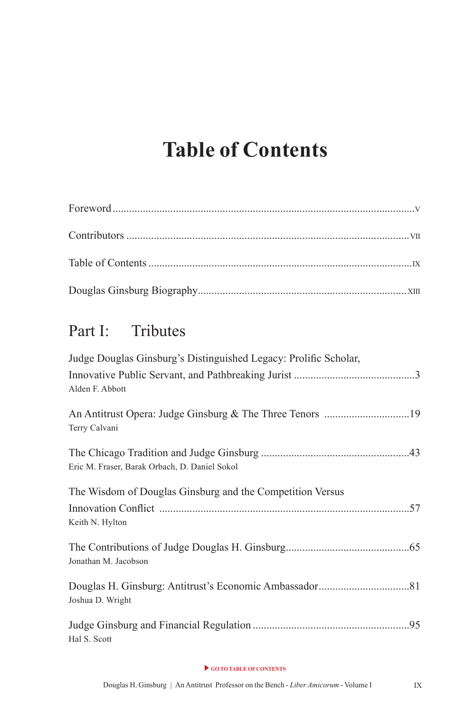## <span id="page-7-0"></span>**Table of Contents**

## Part I: Tributes

| Judge Douglas Ginsburg's Distinguished Legacy: Prolific Scholar, |  |
|------------------------------------------------------------------|--|
| Alden F. Abbott                                                  |  |
| Terry Calvani                                                    |  |
| Eric M. Fraser, Barak Orbach, D. Daniel Sokol                    |  |
| The Wisdom of Douglas Ginsburg and the Competition Versus        |  |
| Keith N. Hylton                                                  |  |
| Jonathan M. Jacobson                                             |  |
| Joshua D. Wright                                                 |  |
| Hal S. Scott                                                     |  |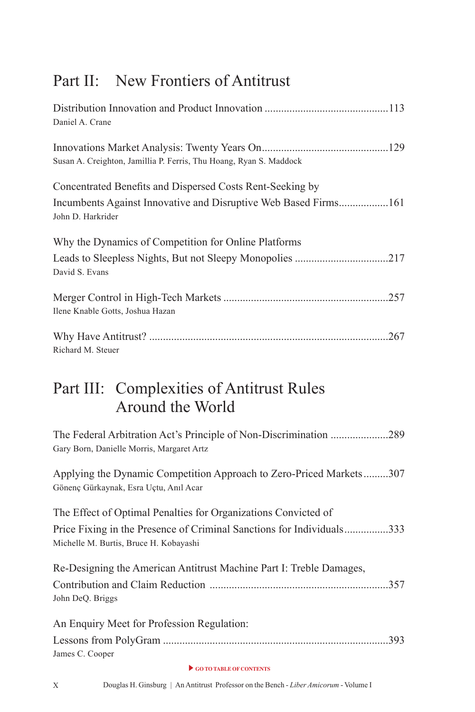## Part II: New Frontiers of Antitrust

| Daniel A. Crane                                                                      |
|--------------------------------------------------------------------------------------|
| Susan A. Creighton, Jamillia P. Ferris, Thu Hoang, Ryan S. Maddock                   |
| Concentrated Benefits and Dispersed Costs Rent-Seeking by                            |
| Incumbents Against Innovative and Disruptive Web Based Firms161<br>John D. Harkrider |
| Why the Dynamics of Competition for Online Platforms                                 |
| David S. Evans                                                                       |
|                                                                                      |
| Ilene Knable Gotts, Joshua Hazan                                                     |
| Richard M. Steuer                                                                    |
|                                                                                      |

## Part III: Complexities of Antitrust Rules Around the World

| The Federal Arbitration Act's Principle of Non-Discrimination 289<br>Gary Born, Danielle Morris, Margaret Artz                                                                    |
|-----------------------------------------------------------------------------------------------------------------------------------------------------------------------------------|
| Applying the Dynamic Competition Approach to Zero-Priced Markets307<br>Gönenç Gürkaynak, Esra Uçtu, Anıl Acar                                                                     |
| The Effect of Optimal Penalties for Organizations Convicted of<br>Price Fixing in the Presence of Criminal Sanctions for Individuals333<br>Michelle M. Burtis, Bruce H. Kobayashi |
| Re-Designing the American Antitrust Machine Part I: Treble Damages,<br>John DeQ. Briggs                                                                                           |
| An Enquiry Meet for Profession Regulation:<br>James C. Cooper                                                                                                                     |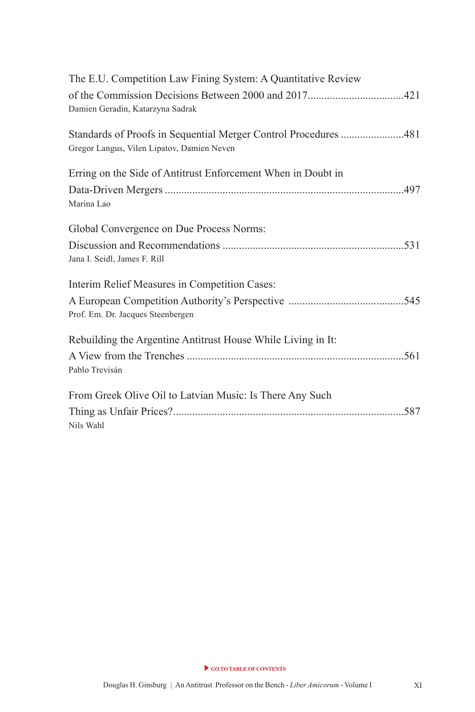| The E.U. Competition Law Fining System: A Quantitative Review   |  |
|-----------------------------------------------------------------|--|
|                                                                 |  |
| Damien Geradin, Katarzyna Sadrak                                |  |
| Standards of Proofs in Sequential Merger Control Procedures 481 |  |
| Gregor Langus, Vilen Lipatov, Damien Neven                      |  |
| Erring on the Side of Antitrust Enforcement When in Doubt in    |  |
|                                                                 |  |
| Marina Lao                                                      |  |
| Global Convergence on Due Process Norms:                        |  |
|                                                                 |  |
| Jana I. Seidl, James F. Rill                                    |  |
| Interim Relief Measures in Competition Cases:                   |  |
|                                                                 |  |
| Prof. Em. Dr. Jacques Steenbergen                               |  |
| Rebuilding the Argentine Antitrust House While Living in It:    |  |
|                                                                 |  |
| Pablo Trevisán                                                  |  |
| From Greek Olive Oil to Latvian Music: Is There Any Such        |  |
|                                                                 |  |
| Nils Wahl                                                       |  |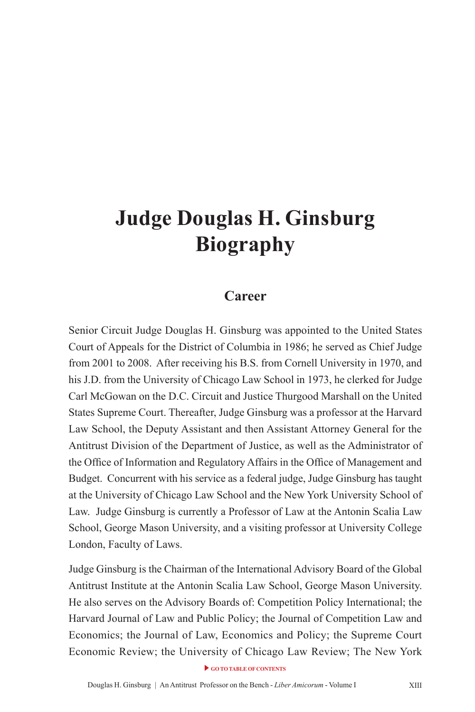## <span id="page-10-0"></span>**Judge Douglas H. Ginsburg Biography**

#### **Career**

Senior Circuit Judge Douglas H. Ginsburg was appointed to the United States Court of Appeals for the District of Columbia in 1986; he served as Chief Judge from 2001 to 2008. After receiving his B.S. from Cornell University in 1970, and his J.D. from the University of Chicago Law School in 1973, he clerked for Judge Carl McGowan on the D.C. Circuit and Justice Thurgood Marshall on the United States Supreme Court. Thereafter, Judge Ginsburg was a professor at the Harvard Law School, the Deputy Assistant and then Assistant Attorney General for the Antitrust Division of the Department of Justice, as well as the Administrator of the Office of Information and Regulatory Affairs in the Office of Management and Budget. Concurrent with his service as a federal judge, Judge Ginsburg has taught at the University of Chicago Law School and the New York University School of Law. Judge Ginsburg is currently a Professor of Law at the Antonin Scalia Law School, George Mason University, and a visiting professor at University College London, Faculty of Laws.

Judge Ginsburg is the Chairman of the International Advisory Board of the Global Antitrust Institute at the Antonin Scalia Law School, George Mason University. He also serves on the Advisory Boards of: Competition Policy International; the Harvard Journal of Law and Public Policy; the Journal of Competition Law and Economics; the Journal of Law, Economics and Policy; the Supreme Court Economic Review; the University of Chicago Law Review; The New York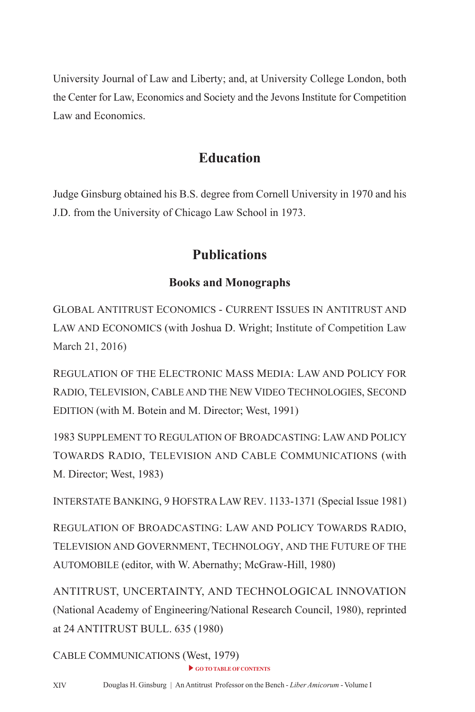University Journal of Law and Liberty; and, at University College London, both the Center for Law, Economics and Society and the Jevons Institute for Competition Law and Economics.

#### **Education**

Judge Ginsburg obtained his B.S. degree from Cornell University in 1970 and his J.D. from the University of Chicago Law School in 1973.

### **Publications**

#### **Books and Monographs**

GLOBAL ANTITRUST ECONOMICS - CURRENT ISSUES IN ANTITRUST AND LAW AND ECONOMICS (with Joshua D. Wright; Institute of Competition Law March 21, 2016)

REGULATION OF THE ELECTRONIC MASS MEDIA: LAW AND POLICY FOR RADIO, TELEVISION, CABLE AND THE NEW VIDEO TECHNOLOGIES, SECOND EDITION (with M. Botein and M. Director; West, 1991)

1983 SUPPLEMENT TO REGULATION OF BROADCASTING: LAW AND POLICY TOWARDS RADIO, TELEVISION AND CABLE COMMUNICATIONS (with M. Director; West, 1983)

INTERSTATE BANKING, 9 HOFSTRA LAW REV. 1133-1371 (Special Issue 1981)

REGULATION OF BROADCASTING: LAW AND POLICY TOWARDS RADIO, TELEVISION AND GOVERNMENT, TECHNOLOGY, AND THE FUTURE OF THE AUTOMOBILE (editor, with W. Abernathy; McGraw-Hill, 1980)

ANTITRUST, UNCERTAINTY, AND TECHNOLOGICAL INNOVATION (National Academy of Engineering/National Research Council, 1980), reprinted at 24 ANTITRUST BULL. 635 (1980)

GO TO TABLE OF CONTENTS CABLE COMMUNICATIONS (West, 1979)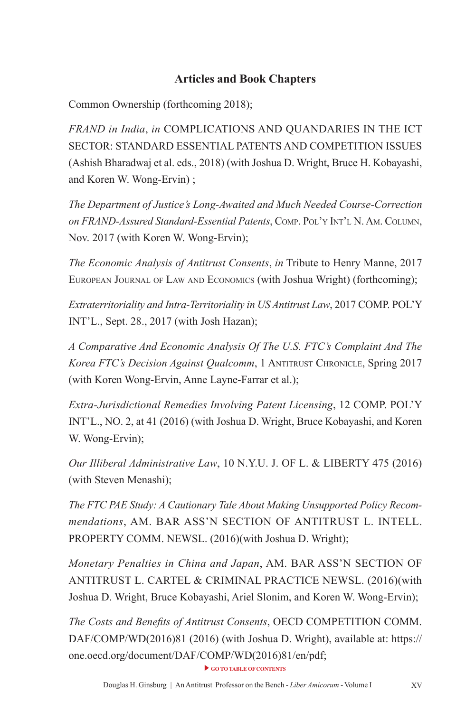#### **Articles and Book Chapters**

Common Ownership (forthcoming 2018);

*FRAND in India*, *in* COMPLICATIONS AND QUANDARIES IN THE ICT SECTOR: STANDARD ESSENTIAL PATENTS AND COMPETITION ISSUES (Ashish Bharadwaj et al. eds., 2018) (with Joshua D. Wright, Bruce H. Kobayashi, and Koren W. Wong-Ervin) ;

*The Department of Justice's Long-Awaited and Much Needed Course-Correction on FRAND-Assured Standard-Essential Patents*, Comp. pol'y int'l n. am. Column, Nov. 2017 (with Koren W. Wong-Ervin);

*The Economic Analysis of Antitrust Consents*, *in* Tribute to Henry Manne, 2017 EUROPEAN JOURNAL OF LAW AND ECONOMICS (with Joshua Wright) (forthcoming);

*Extraterritoriality and Intra-Territoriality in US Antitrust Law*, 2017 COMP. POL'Y INT'L., Sept. 28., 2017 (with Josh Hazan);

*A Comparative And Economic Analysis Of The U.S. FTC's Complaint And The*  Korea FTC's Decision Against Qualcomm, 1 ANTITRUST CHRONICLE, Spring 2017 (with Koren Wong-Ervin, Anne Layne-Farrar et al.);

*Extra-Jurisdictional Remedies Involving Patent Licensing*, 12 COMP. POL'Y INT'L., NO. 2, at 41 (2016) (with Joshua D. Wright, Bruce Kobayashi, and Koren W. Wong-Ervin);

*Our Illiberal Administrative Law*, 10 N.Y.U. J. OF L. & LIBERTY 475 (2016) (with Steven Menashi);

*The FTC PAE Study: A Cautionary Tale About Making Unsupported Policy Recommendations*, AM. BAR ASS'N SECTION OF ANTITRUST L. INTELL. PROPERTY COMM. NEWSL. (2016)(with Joshua D. Wright);

*Monetary Penalties in China and Japan*, AM. BAR ASS'N SECTION OF ANTITRUST L. CARTEL & CRIMINAL PRACTICE NEWSL. (2016)(with Joshua D. Wright, Bruce Kobayashi, Ariel Slonim, and Koren W. Wong-Ervin);

*The Costs and Benefts of Antitrust Consents*, OECD COMPETITION COMM. DAF/COMP/WD(2016)81 (2016) (with Joshua D. Wright), available at: https:// one.oecd.org/document/DAF/COMP/WD(2016)81/en/pdf;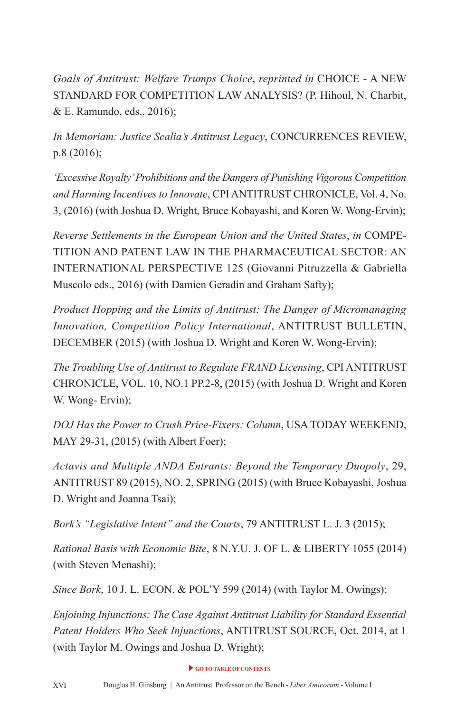*Goals of Antitrust: Welfare Trumps Choice*, *reprinted in* CHOICE - A NEW STANDARD FOR COMPETITION LAW ANALYSIS? (P. Hihoul, N. Charbit, & E. Ramundo, eds., 2016);

*In Memoriam: Justice Scalia's Antitrust Legacy*, CONCURRENCES REVIEW, p.8 (2016);

*'Excessive Royalty' Prohibitions and the Dangers of Punishing Vigorous Competition and Harming Incentives to Innovate*, CPI ANTITRUST CHRONICLE, Vol. 4, No. 3, (2016) (with Joshua D. Wright, Bruce Kobayashi, and Koren W. Wong-Ervin);

*Reverse Settlements in the European Union and the United States*, *in* COMPE-TITION AND PATENT LAW IN THE PHARMACEUTICAL SECTOR: AN INTERNATIONAL PERSPECTIVE 125 (Giovanni Pitruzzella & Gabriella Muscolo eds., 2016) (with Damien Geradin and Graham Safty);

*Product Hopping and the Limits of Antitrust: The Danger of Micromanaging Innovation, Competition Policy International*, ANTITRUST BULLETIN, DECEMBER (2015) (with Joshua D. Wright and Koren W. Wong-Ervin);

*The Troubling Use of Antitrust to Regulate FRAND Licensing*, CPI ANTITRUST CHRONICLE, VOL. 10, NO.1 PP.2-8, (2015) (with Joshua D. Wright and Koren W. Wong- Ervin);

*DOJ Has the Power to Crush Price-Fixers: Column*, USA TODAY WEEKEND, MAY 29-31, (2015) (with Albert Foer);

*Actavis and Multiple ANDA Entrants: Beyond the Temporary Duopoly*, 29, ANTITRUST 89 (2015), NO. 2, SPRING (2015) (with Bruce Kobayashi, Joshua D. Wright and Joanna Tsai);

*Bork's "Legislative Intent" and the Courts*, 79 ANTITRUST L. J. 3 (2015);

*Rational Basis with Economic Bite*, 8 N.Y.U. J. OF L. & LIBERTY 1055 (2014) (with Steven Menashi);

*Since Bork*, 10 J. L. ECON. & POL'Y 599 (2014) (with Taylor M. Owings);

*Enjoining Injunctions: The Case Against Antitrust Liability for Standard Essential Patent Holders Who Seek Injunctions*, ANTITRUST SOURCE, Oct. 2014, at 1 (with Taylor M. Owings and Joshua D. Wright);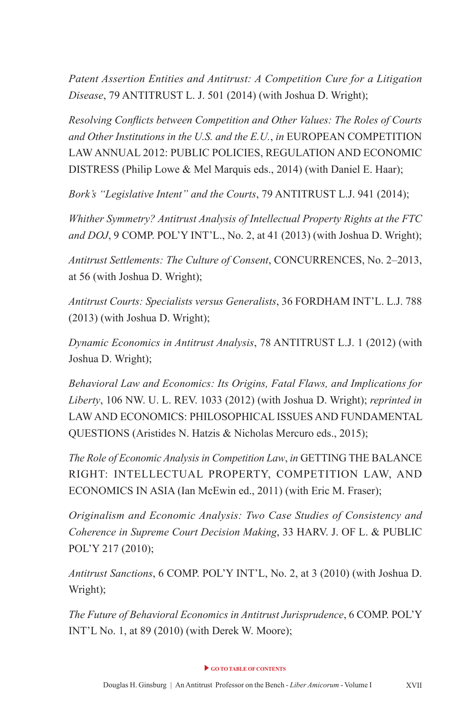*Patent Assertion Entities and Antitrust: A Competition Cure for a Litigation Disease*, 79 ANTITRUST L. J. 501 (2014) (with Joshua D. Wright);

*Resolving Conficts between Competition and Other Values: The Roles of Courts and Other Institutions in the U.S. and the E.U.*, *in* EUROPEAN COMPETITION LAW ANNUAL 2012: PUBLIC POLICIES, REGULATION AND ECONOMIC DISTRESS (Philip Lowe & Mel Marquis eds., 2014) (with Daniel E. Haar);

*Bork's "Legislative Intent" and the Courts*, 79 ANTITRUST L.J. 941 (2014);

*Whither Symmetry? Antitrust Analysis of Intellectual Property Rights at the FTC and DOJ*, 9 COMP. POL'Y INT'L., No. 2, at 41 (2013) (with Joshua D. Wright);

*Antitrust Settlements: The Culture of Consent*, CONCURRENCES, No. 2–2013, at 56 (with Joshua D. Wright);

*Antitrust Courts: Specialists versus Generalists*, 36 FORDHAM INT'L. L.J. 788 (2013) (with Joshua D. Wright);

*Dynamic Economics in Antitrust Analysis*, 78 ANTITRUST L.J. 1 (2012) (with Joshua D. Wright);

*Behavioral Law and Economics: Its Origins, Fatal Flaws, and Implications for Liberty*, 106 NW. U. L. REV. 1033 (2012) (with Joshua D. Wright); *reprinted in* LAW AND ECONOMICS: PHILOSOPHICAL ISSUES AND FUNDAMENTAL QUESTIONS (Aristides N. Hatzis & Nicholas Mercuro eds., 2015);

*The Role of Economic Analysis in Competition Law*, *in* GETTING THE BALANCE RIGHT: INTELLECTUAL PROPERTY, COMPETITION LAW, AND ECONOMICS IN ASIA (Ian McEwin ed., 2011) (with Eric M. Fraser);

*Originalism and Economic Analysis: Two Case Studies of Consistency and Coherence in Supreme Court Decision Making*, 33 HARV. J. OF L. & PUBLIC POL'Y 217 (2010);

*Antitrust Sanctions*, 6 COMP. POL'Y INT'L, No. 2, at 3 (2010) (with Joshua D. Wright);

*The Future of Behavioral Economics in Antitrust Jurisprudence*, 6 COMP. POL'Y INT'L No. 1, at 89 (2010) (with Derek W. Moore);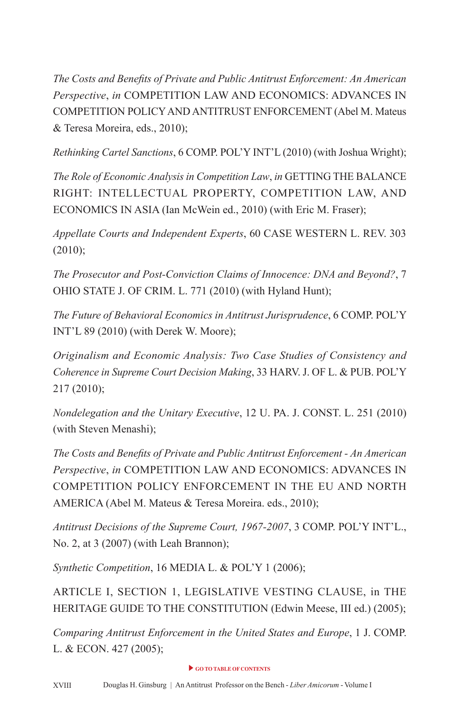*The Costs and Benefts of Private and Public Antitrust Enforcement: An American Perspective*, *in* COMPETITION LAW AND ECONOMICS: ADVANCES IN COMPETITION POLICY AND ANTITRUST ENFORCEMENT (Abel M. Mateus & Teresa Moreira, eds., 2010);

*Rethinking Cartel Sanctions*, 6 COMP. POL'Y INT'L (2010) (with Joshua Wright);

*The Role of Economic Analysis in Competition Law*, *in* GETTING THE BALANCE RIGHT: INTELLECTUAL PROPERTY, COMPETITION LAW, AND ECONOMICS IN ASIA (Ian McWein ed., 2010) (with Eric M. Fraser);

*Appellate Courts and Independent Experts*, 60 CASE WESTERN L. REV. 303  $(2010);$ 

*The Prosecutor and Post-Conviction Claims of Innocence: DNA and Beyond?*, 7 OHIO STATE J. OF CRIM. L. 771 (2010) (with Hyland Hunt);

*The Future of Behavioral Economics in Antitrust Jurisprudence*, 6 COMP. POL'Y INT'L 89 (2010) (with Derek W. Moore);

*Originalism and Economic Analysis: Two Case Studies of Consistency and Coherence in Supreme Court Decision Making*, 33 HARV. J. OF L. & PUB. POL'Y 217 (2010);

*Nondelegation and the Unitary Executive*, 12 U. PA. J. CONST. L. 251 (2010) (with Steven Menashi);

*The Costs and Benefts of Private and Public Antitrust Enforcement - An American Perspective*, *in* COMPETITION LAW AND ECONOMICS: ADVANCES IN COMPETITION POLICY ENFORCEMENT IN THE EU AND NORTH AMERICA (Abel M. Mateus & Teresa Moreira. eds., 2010);

*Antitrust Decisions of the Supreme Court, 1967-2007*, 3 COMP. POL'Y INT'L., No. 2, at 3 (2007) (with Leah Brannon);

*Synthetic Competition*, 16 MEDIA L. & POL'Y 1 (2006);

ARTICLE I, SECTION 1, LEGISLATIVE VESTING CLAUSE, in THE HERITAGE GUIDE TO THE CONSTITUTION (Edwin Meese, III ed.) (2005);

*Comparing Antitrust Enforcement in the United States and Europe*, 1 J. COMP. L. & ECON. 427 (2005);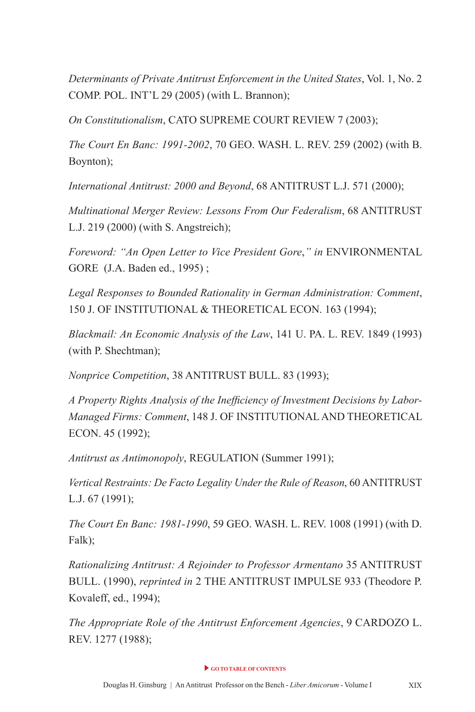*Determinants of Private Antitrust Enforcement in the United States*, Vol. 1, No. 2 COMP. POL. INT'L 29 (2005) (with L. Brannon);

*On Constitutionalism*, CATO SUPREME COURT REVIEW 7 (2003);

*The Court En Banc: 1991-2002*, 70 GEO. WASH. L. REV. 259 (2002) (with B. Boynton);

*International Antitrust: 2000 and Beyond*, 68 ANTITRUST L.J. 571 (2000);

*Multinational Merger Review: Lessons From Our Federalism*, 68 ANTITRUST L.J. 219 (2000) (with S. Angstreich);

*Foreword: "An Open Letter to Vice President Gore*,*" in* ENVIRONMENTAL GORE (J.A. Baden ed., 1995) ;

*Legal Responses to Bounded Rationality in German Administration: Comment*, 150 J. OF INSTITUTIONAL & THEORETICAL ECON. 163 (1994);

*Blackmail: An Economic Analysis of the Law*, 141 U. PA. L. REV. 1849 (1993) (with P. Shechtman);

*Nonprice Competition*, 38 ANTITRUST BULL. 83 (1993);

*A Property Rights Analysis of the Ineffciency of Investment Decisions by Labor-Managed Firms: Comment*, 148 J. OF INSTITUTIONAL AND THEORETICAL ECON. 45 (1992);

*Antitrust as Antimonopoly*, REGULATION (Summer 1991);

*Vertical Restraints: De Facto Legality Under the Rule of Reason*, 60 ANTITRUST L.J. 67 (1991);

*The Court En Banc: 1981-1990*, 59 GEO. WASH. L. REV. 1008 (1991) (with D. Falk);

*Rationalizing Antitrust: A Rejoinder to Professor Armentano* 35 ANTITRUST BULL. (1990), *reprinted in* 2 THE ANTITRUST IMPULSE 933 (Theodore P. Kovaleff, ed., 1994);

*The Appropriate Role of the Antitrust Enforcement Agencies*, 9 CARDOZO L. REV. 1277 (1988);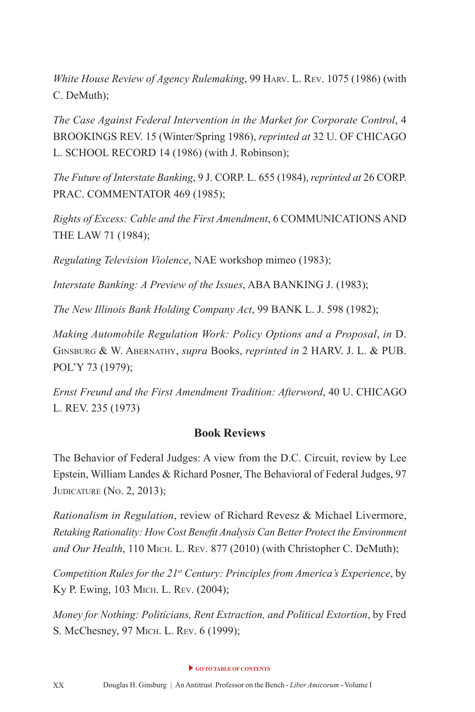*White House Review of Agency Rulemaking*, 99 HARV. L. REV. 1075 (1986) (with C. DeMuth);

*The Case Against Federal Intervention in the Market for Corporate Control*, 4 BROOKINGS REV. 15 (Winter/Spring 1986), *reprinted at* 32 U. OF CHICAGO L. SCHOOL RECORD 14 (1986) (with J. Robinson);

*The Future of Interstate Banking*, 9 J. CORP. L. 655 (1984), *reprinted at* 26 CORP. PRAC. COMMENTATOR 469 (1985);

*Rights of Excess: Cable and the First Amendment*, 6 COMMUNICATIONS AND THE LAW 71 (1984);

*Regulating Television Violence*, NAE workshop mimeo (1983);

*Interstate Banking: A Preview of the Issues*, ABA BANKING J. (1983);

*The New Illinois Bank Holding Company Act*, 99 BANK L. J. 598 (1982);

*Making Automobile Regulation Work: Policy Options and a Proposal, in* D. ginsburg & W. abErnathy, *supra* Books, *reprinted in* 2 HARV. J. L. & PUB. POL'Y 73 (1979);

*Ernst Freund and the First Amendment Tradition: Afterword*, 40 U. CHICAGO L. REV. 235 (1973)

#### **Book Reviews**

The Behavior of Federal Judges: A view from the D.C. Circuit, review by Lee Epstein, William Landes & Richard Posner, The Behavioral of Federal Judges, 97 **JUDICATURE** (No. 2, 2013);

*Rationalism in Regulation*, review of Richard Revesz & Michael Livermore, *Retaking Rationality: How Cost Beneft Analysis Can Better Protect the Environment*  and Our Health, 110 MICH. L. REV. 877 (2010) (with Christopher C. DeMuth);

*Competition Rules for the 21st Century: Principles from America's Experience*, by Ky P. Ewing, 103 MICH. L. REV. (2004);

*Money for Nothing: Politicians, Rent Extraction, and Political Extortion*, by Fred S. McChesney, 97 MICH. L. REV. 6 (1999);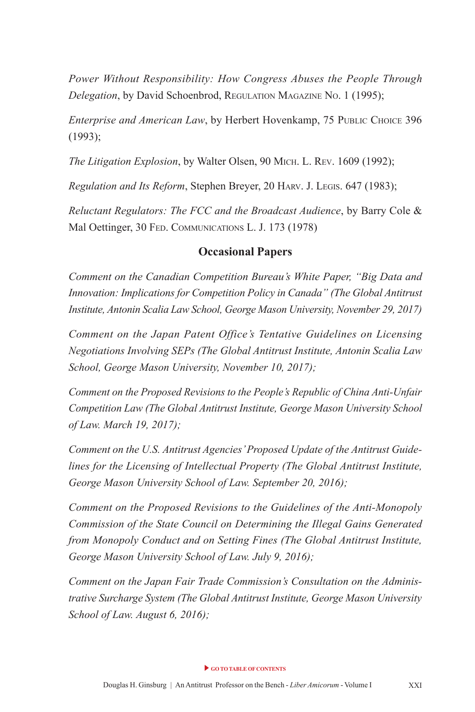*Power Without Responsibility: How Congress Abuses the People Through Delegation*, by David Schoenbrod, REGULATION MAGAZINE No. 1 (1995);

*Enterprise and American Law*, by Herbert Hovenkamp, 75 PUBLIC CHOICE 396 (1993);

*The Litigation Explosion*, by Walter Olsen, 90 MICH. L. REV. 1609 (1992);

*Regulation and Its Reform, Stephen Breyer, 20 HARV. J. LEGIS. 647 (1983);* 

*Reluctant Regulators: The FCC and the Broadcast Audience*, by Barry Cole & Mal Oettinger, 30 FED. COMMUNICATIONS L. J. 173 (1978)

#### **Occasional Papers**

*Comment on the Canadian Competition Bureau's White Paper, "Big Data and Innovation: Implications for Competition Policy in Canada" (The Global Antitrust Institute, Antonin Scalia Law School, George Mason University, November 29, 2017)*

*Comment on the Japan Patent Office's Tentative Guidelines on Licensing Negotiations Involving SEPs (The Global Antitrust Institute, Antonin Scalia Law School, George Mason University, November 10, 2017);*

*Comment on the Proposed Revisions to the People's Republic of China Anti-Unfair Competition Law (The Global Antitrust Institute, George Mason University School of Law. March 19, 2017);* 

*Comment on the U.S. Antitrust Agencies' Proposed Update of the Antitrust Guidelines for the Licensing of Intellectual Property (The Global Antitrust Institute, George Mason University School of Law. September 20, 2016);*

*Comment on the Proposed Revisions to the Guidelines of the Anti-Monopoly Commission of the State Council on Determining the Illegal Gains Generated from Monopoly Conduct and on Setting Fines (The Global Antitrust Institute, George Mason University School of Law. July 9, 2016);*

*Comment on the Japan Fair Trade Commission's Consultation on the Administrative Surcharge System (The Global Antitrust Institute, George Mason University School of Law. August 6, 2016);*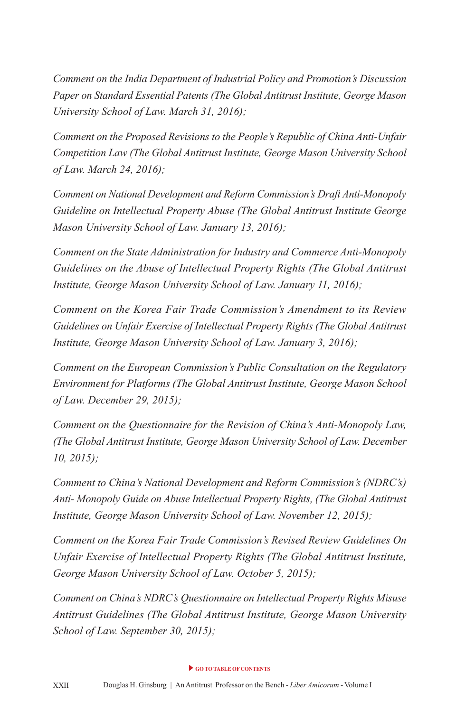*Comment on the India Department of Industrial Policy and Promotion's Discussion Paper on Standard Essential Patents (The Global Antitrust Institute, George Mason University School of Law. March 31, 2016);* 

*Comment on the Proposed Revisions to the People's Republic of China Anti-Unfair Competition Law (The Global Antitrust Institute, George Mason University School of Law. March 24, 2016);* 

*Comment on National Development and Reform Commission's Draft Anti-Monopoly Guideline on Intellectual Property Abuse (The Global Antitrust Institute George Mason University School of Law. January 13, 2016);* 

*Comment on the State Administration for Industry and Commerce Anti-Monopoly Guidelines on the Abuse of Intellectual Property Rights (The Global Antitrust Institute, George Mason University School of Law. January 11, 2016);* 

*Comment on the Korea Fair Trade Commission's Amendment to its Review Guidelines on Unfair Exercise of Intellectual Property Rights (The Global Antitrust Institute, George Mason University School of Law. January 3, 2016);* 

*Comment on the European Commission's Public Consultation on the Regulatory Environment for Platforms (The Global Antitrust Institute, George Mason School of Law. December 29, 2015);* 

*Comment on the Questionnaire for the Revision of China's Anti-Monopoly Law, (The Global Antitrust Institute, George Mason University School of Law. December 10, 2015);* 

*Comment to China's National Development and Reform Commission's (NDRC's) Anti- Monopoly Guide on Abuse Intellectual Property Rights, (The Global Antitrust Institute, George Mason University School of Law. November 12, 2015);*

*Comment on the Korea Fair Trade Commission's Revised Review Guidelines On Unfair Exercise of Intellectual Property Rights (The Global Antitrust Institute, George Mason University School of Law. October 5, 2015);* 

*Comment on China's NDRC's Questionnaire on Intellectual Property Rights Misuse Antitrust Guidelines (The Global Antitrust Institute, George Mason University School of Law. September 30, 2015);*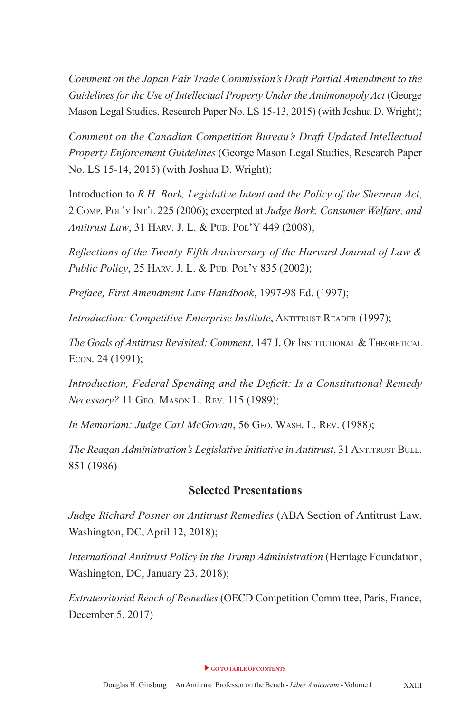*Comment on the Japan Fair Trade Commission's Draft Partial Amendment to the Guidelines for the Use of Intellectual Property Under the Antimonopoly Act* (George Mason Legal Studies, Research Paper No. LS 15-13, 2015) (with Joshua D. Wright);

*Comment on the Canadian Competition Bureau's Draft Updated Intellectual Property Enforcement Guidelines* (George Mason Legal Studies, Research Paper No. LS 15-14, 2015) (with Joshua D. Wright);

Introduction to *R.H. Bork, Legislative Intent and the Policy of the Sherman Act*, 2 Comp. pol'y int'l 225 (2006); excerpted at *Judge Bork, Consumer Welfare, and*  Antitrust Law, 31 HARV. J. L. & PUB. POL'Y 449 (2008);

*Refections of the Twenty-Fifth Anniversary of the Harvard Journal of Law & Public Policy*, 25 HARV. J. L. & PUB. POL'Y 835 (2002);

*Preface, First Amendment Law Handbook*, 1997-98 Ed. (1997);

*Introduction: Competitive Enterprise Institute*, ANTITRUST READER (1997);

*The Goals of Antitrust Revisited: Comment*, 147 J. OF INSTITUTIONAL & THEORETICAL ECon. 24 (1991);

*Introduction, Federal Spending and the Defcit: Is a Constitutional Remedy Necessary?* 11 GEO. MASON L. REV. 115 (1989);

In Memoriam: Judge Carl McGowan, 56 GEO. WASH. L. REV. (1988);

**The Reagan Administration's Legislative Initiative in Antitrust, 31 ANTITRUST BULL.** 851 (1986)

#### **Selected Presentations**

*Judge Richard Posner on Antitrust Remedies* (ABA Section of Antitrust Law. Washington, DC, April 12, 2018);

*International Antitrust Policy in the Trump Administration* (Heritage Foundation, Washington, DC, January 23, 2018);

*Extraterritorial Reach of Remedies* (OECD Competition Committee, Paris, France, December 5, 2017)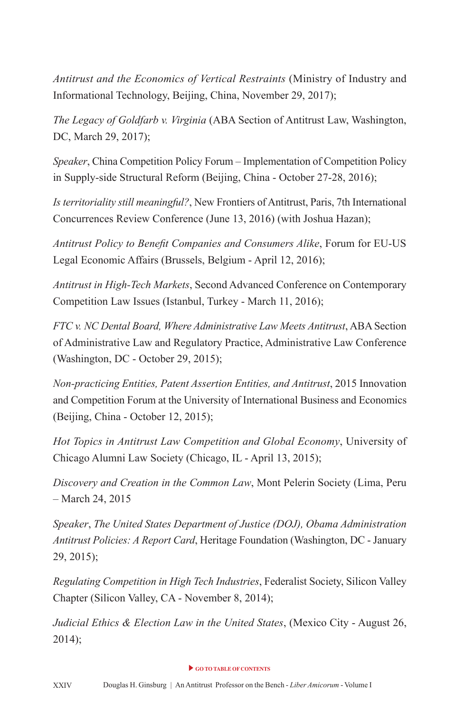*Antitrust and the Economics of Vertical Restraints* (Ministry of Industry and Informational Technology, Beijing, China, November 29, 2017);

*The Legacy of Goldfarb v. Virginia* (ABA Section of Antitrust Law, Washington, DC, March 29, 2017);

*Speaker*, China Competition Policy Forum – Implementation of Competition Policy in Supply-side Structural Reform (Beijing, China - October 27-28, 2016);

*Is territoriality still meaningful?*, New Frontiers of Antitrust, Paris, 7th International Concurrences Review Conference (June 13, 2016) (with Joshua Hazan);

*Antitrust Policy to Beneft Companies and Consumers Alike*, Forum for EU-US Legal Economic Affairs (Brussels, Belgium - April 12, 2016);

*Antitrust in High-Tech Markets*, Second Advanced Conference on Contemporary Competition Law Issues (Istanbul, Turkey - March 11, 2016);

*FTC v. NC Dental Board, Where Administrative Law Meets Antitrust*, ABA Section of Administrative Law and Regulatory Practice, Administrative Law Conference (Washington, DC - October 29, 2015);

*Non-practicing Entities, Patent Assertion Entities, and Antitrust*, 2015 Innovation and Competition Forum at the University of International Business and Economics (Beijing, China - October 12, 2015);

*Hot Topics in Antitrust Law Competition and Global Economy*, University of Chicago Alumni Law Society (Chicago, IL - April 13, 2015);

*Discovery and Creation in the Common Law*, Mont Pelerin Society (Lima, Peru – March 24, 2015

*Speaker*, *The United States Department of Justice (DOJ), Obama Administration Antitrust Policies: A Report Card*, Heritage Foundation (Washington, DC - January 29, 2015);

*Regulating Competition in High Tech Industries*, Federalist Society, Silicon Valley Chapter (Silicon Valley, CA - November 8, 2014);

*Judicial Ethics & Election Law in the United States*, (Mexico City - August 26,  $2014$ ;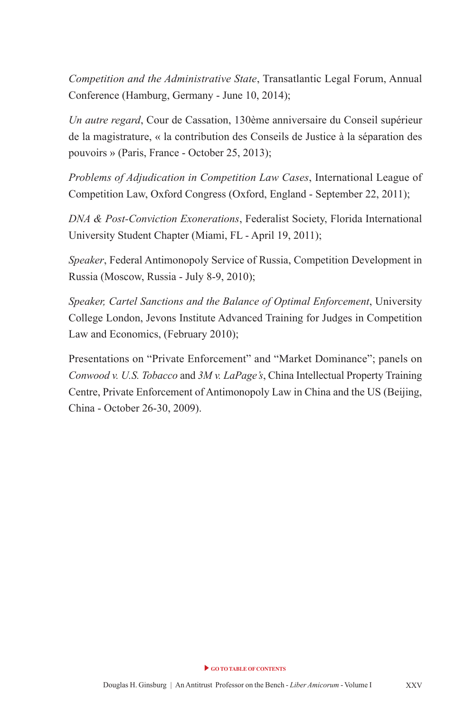*Competition and the Administrative State*, Transatlantic Legal Forum, Annual Conference (Hamburg, Germany - June 10, 2014);

*Un autre regard*, Cour de Cassation, 130ème anniversaire du Conseil supérieur de la magistrature, « la contribution des Conseils de Justice à la séparation des pouvoirs » (Paris, France - October 25, 2013);

*Problems of Adjudication in Competition Law Cases*, International League of Competition Law, Oxford Congress (Oxford, England - September 22, 2011);

*DNA & Post-Conviction Exonerations*, Federalist Society, Florida International University Student Chapter (Miami, FL - April 19, 2011);

*Speaker*, Federal Antimonopoly Service of Russia, Competition Development in Russia (Moscow, Russia - July 8-9, 2010);

*Speaker, Cartel Sanctions and the Balance of Optimal Enforcement*, University College London, Jevons Institute Advanced Training for Judges in Competition Law and Economics, (February 2010);

Presentations on "Private Enforcement" and "Market Dominance"; panels on *Conwood v. U.S. Tobacco* and *3M v. LaPage's*, China Intellectual Property Training Centre, Private Enforcement of Antimonopoly Law in China and the US (Beijing, China - October 26-30, 2009).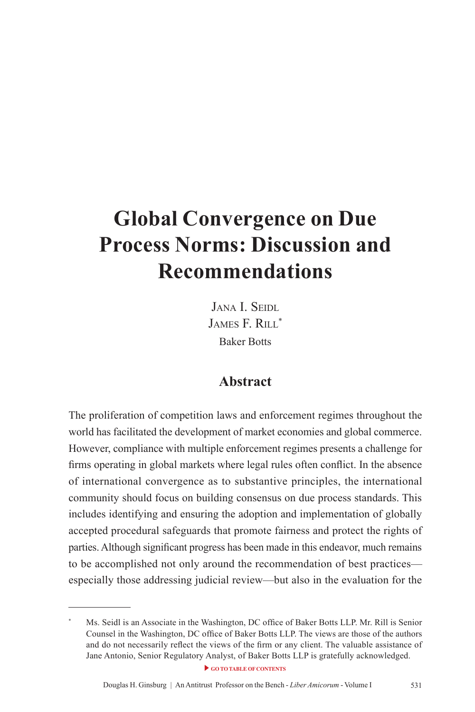# <span id="page-23-0"></span>**Global Convergence on Due Process Norms: Discussion and Recommendations**

JANA I. SEIDL JAMES F. RILL\* Baker Botts

#### **Abstract**

The proliferation of competition laws and enforcement regimes throughout the world has facilitated the development of market economies and global commerce. However, compliance with multiple enforcement regimes presents a challenge for frms operating in global markets where legal rules often confict. In the absence of international convergence as to substantive principles, the international community should focus on building consensus on due process standards. This includes identifying and ensuring the adoption and implementation of globally accepted procedural safeguards that promote fairness and protect the rights of parties. Although signifcant progress has been made in this endeavor, much remains to be accomplished not only around the recommendation of best practices especially those addressing judicial review—but also in the evaluation for the

Ms. Seidl is an Associate in the Washington, DC office of Baker Botts LLP. Mr. Rill is Senior Counsel in the Washington, DC office of Baker Botts LLP. The views are those of the authors and do not necessarily refect the views of the frm or any client. The valuable assistance of Jane Antonio, Senior Regulatory Analyst, of Baker Botts LLP is gratefully acknowledged.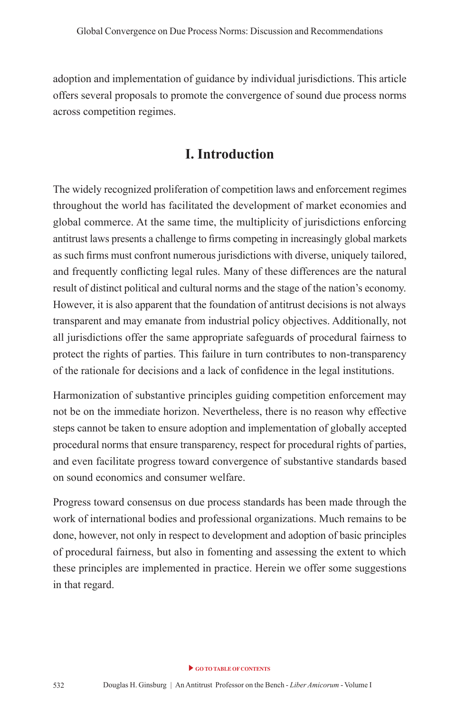adoption and implementation of guidance by individual jurisdictions. This article offers several proposals to promote the convergence of sound due process norms across competition regimes.

### **I. Introduction**

The widely recognized proliferation of competition laws and enforcement regimes throughout the world has facilitated the development of market economies and global commerce. At the same time, the multiplicity of jurisdictions enforcing antitrust laws presents a challenge to frms competing in increasingly global markets as such frms must confront numerous jurisdictions with diverse, uniquely tailored, and frequently conficting legal rules. Many of these differences are the natural result of distinct political and cultural norms and the stage of the nation's economy. However, it is also apparent that the foundation of antitrust decisions is not always transparent and may emanate from industrial policy objectives. Additionally, not all jurisdictions offer the same appropriate safeguards of procedural fairness to protect the rights of parties. This failure in turn contributes to non-transparency of the rationale for decisions and a lack of confdence in the legal institutions.

Harmonization of substantive principles guiding competition enforcement may not be on the immediate horizon. Nevertheless, there is no reason why effective steps cannot be taken to ensure adoption and implementation of globally accepted procedural norms that ensure transparency, respect for procedural rights of parties, and even facilitate progress toward convergence of substantive standards based on sound economics and consumer welfare.

Progress toward consensus on due process standards has been made through the work of international bodies and professional organizations. Much remains to be done, however, not only in respect to development and adoption of basic principles of procedural fairness, but also in fomenting and assessing the extent to which these principles are implemented in practice. Herein we offer some suggestions in that regard.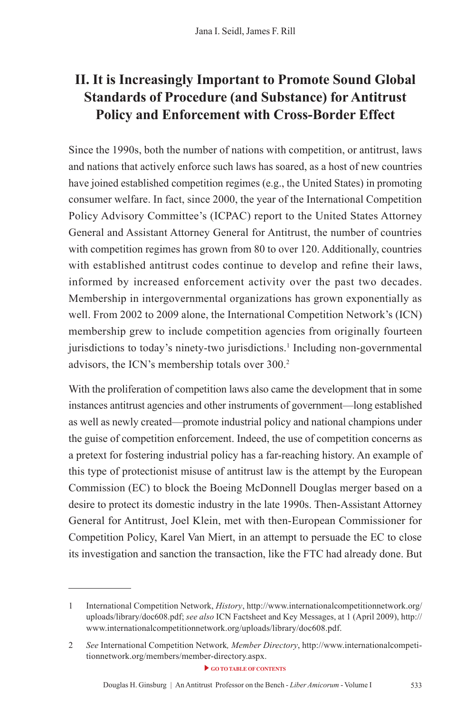## **II. It is Increasingly Important to Promote Sound Global Standards of Procedure (and Substance) for Antitrust Policy and Enforcement with Cross-Border Effect**

Since the 1990s, both the number of nations with competition, or antitrust, laws and nations that actively enforce such laws has soared, as a host of new countries have joined established competition regimes (e.g., the United States) in promoting consumer welfare. In fact, since 2000, the year of the International Competition Policy Advisory Committee's (ICPAC) report to the United States Attorney General and Assistant Attorney General for Antitrust, the number of countries with competition regimes has grown from 80 to over 120. Additionally, countries with established antitrust codes continue to develop and refne their laws, informed by increased enforcement activity over the past two decades. Membership in intergovernmental organizations has grown exponentially as well. From 2002 to 2009 alone, the International Competition Network's (ICN) membership grew to include competition agencies from originally fourteen jurisdictions to today's ninety-two jurisdictions.<sup>1</sup> Including non-governmental advisors, the ICN's membership totals over 300.<sup>2</sup>

With the proliferation of competition laws also came the development that in some instances antitrust agencies and other instruments of government—long established as well as newly created—promote industrial policy and national champions under the guise of competition enforcement. Indeed, the use of competition concerns as a pretext for fostering industrial policy has a far-reaching history. An example of this type of protectionist misuse of antitrust law is the attempt by the European Commission (EC) to block the Boeing McDonnell Douglas merger based on a desire to protect its domestic industry in the late 1990s. Then-Assistant Attorney General for Antitrust, Joel Klein, met with then-European Commissioner for Competition Policy, Karel Van Miert, in an attempt to persuade the EC to close its investigation and sanction the transaction, like the FTC had already done. But

<sup>1</sup> International Competition Network, *History*, http://www.internationalcompetitionnetwork.org/ uploads/library/doc608.pdf; *see also* ICN Factsheet and Key Messages, at 1 (April 2009), http:// www.internationalcompetitionnetwork.org/uploads/library/doc608.pdf.

<sup>2</sup> *See* International Competition Network*, Member Directory*, http://www.internationalcompetitionnetwork.org/members/member-directory.aspx.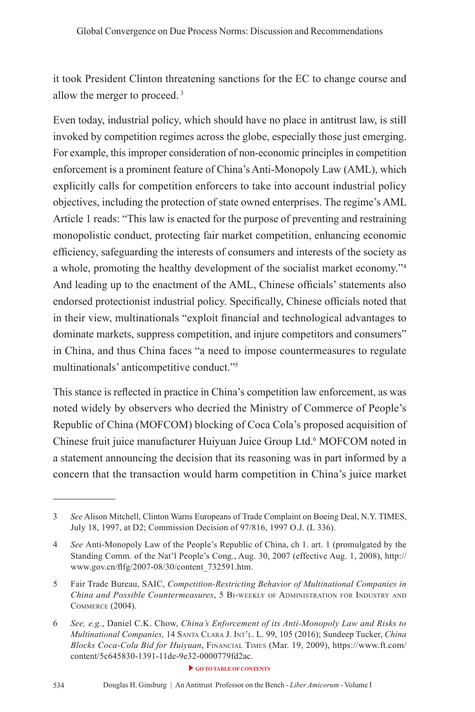it took President Clinton threatening sanctions for the EC to change course and allow the merger to proceed. 3

Even today, industrial policy, which should have no place in antitrust law, is still invoked by competition regimes across the globe, especially those just emerging. For example, this improper consideration of non-economic principles in competition enforcement is a prominent feature of China's Anti-Monopoly Law (AML), which explicitly calls for competition enforcers to take into account industrial policy objectives, including the protection of state owned enterprises. The regime's AML Article 1 reads: "This law is enacted for the purpose of preventing and restraining monopolistic conduct, protecting fair market competition, enhancing economic effciency, safeguarding the interests of consumers and interests of the society as a whole, promoting the healthy development of the socialist market economy."<sup>4</sup> And leading up to the enactment of the AML, Chinese officials' statements also endorsed protectionist industrial policy. Specifcally, Chinese offcials noted that in their view, multinationals "exploit fnancial and technological advantages to dominate markets, suppress competition, and injure competitors and consumers" in China, and thus China faces "a need to impose countermeasures to regulate multinationals' anticompetitive conduct."5

This stance is refected in practice in China's competition law enforcement, as was noted widely by observers who decried the Ministry of Commerce of People's Republic of China (MOFCOM) blocking of Coca Cola's proposed acquisition of Chinese fruit juice manufacturer Huiyuan Juice Group Ltd.6 MOFCOM noted in a statement announcing the decision that its reasoning was in part informed by a concern that the transaction would harm competition in China's juice market

<sup>3</sup> *See* Alison Mitchell, Clinton Warns Europeans of Trade Complaint on Boeing Deal, N.Y. TIMES, July 18, 1997, at D2; Commission Decision of 97/816, 1997 O.J. (L 336).

<sup>4</sup> *See* Anti-Monopoly Law of the People's Republic of China, ch 1. art. 1 (promulgated by the Standing Comm. of the Nat'l People's Cong., Aug. 30, 2007 (effective Aug. 1, 2008), http:// www.gov.cn/ffg/2007-08/30/content\_732591.htm.

<sup>5</sup> Fair Trade Bureau, SAIC, *Competition-Restricting Behavior of Multinational Companies in China and Possible Countermeasures*, 5 bi-WEEkly of administration for industry and CommErCE (2004).

<sup>6</sup> *See, e.g.*, Daniel C.K. Chow, *China's Enforcement of its Anti-Monopoly Law and Risks to Multinational Companies,* 14 santa Clara J. int'l. l. 99, 105 (2016); Sundeep Tucker, *China Blocks Coca-Cola Bid for Huiyuan*, finanCial timEs (Mar. 19, 2009), https://www.ft.com/ content/5c645830-1391-11de-9e32-0000779fd2ac.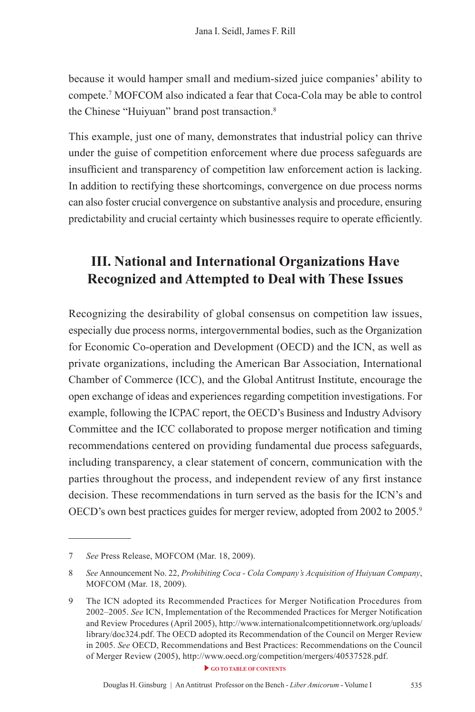because it would hamper small and medium-sized juice companies' ability to compete.7 MOFCOM also indicated a fear that Coca-Cola may be able to control the Chinese "Huiyuan" brand post transaction.8

This example, just one of many, demonstrates that industrial policy can thrive under the guise of competition enforcement where due process safeguards are insufficient and transparency of competition law enforcement action is lacking. In addition to rectifying these shortcomings, convergence on due process norms can also foster crucial convergence on substantive analysis and procedure, ensuring predictability and crucial certainty which businesses require to operate effciently.

## **III. National and International Organizations Have Recognized and Attempted to Deal with These Issues**

Recognizing the desirability of global consensus on competition law issues, especially due process norms, intergovernmental bodies, such as the Organization for Economic Co-operation and Development (OECD) and the ICN, as well as private organizations, including the American Bar Association, International Chamber of Commerce (ICC), and the Global Antitrust Institute, encourage the open exchange of ideas and experiences regarding competition investigations. For example, following the ICPAC report, the OECD's Business and Industry Advisory Committee and the ICC collaborated to propose merger notifcation and timing recommendations centered on providing fundamental due process safeguards, including transparency, a clear statement of concern, communication with the parties throughout the process, and independent review of any frst instance decision. These recommendations in turn served as the basis for the ICN's and OECD's own best practices guides for merger review, adopted from 2002 to 2005.<sup>9</sup>

<sup>7</sup> *See* Press Release, MOFCOM (Mar. 18, 2009).

<sup>8</sup> *See* Announcement No. 22, *Prohibiting Coca - Cola Company's Acquisition of Huiyuan Company*, MOFCOM (Mar. 18, 2009).

<sup>9</sup> The ICN adopted its Recommended Practices for Merger Notifcation Procedures from 2002–2005. *See* ICN, Implementation of the Recommended Practices for Merger Notifcation and Review Procedures (April 2005), http://www.internationalcompetitionnetwork.org/uploads/ library/doc324.pdf. The OECD adopted its Recommendation of the Council on Merger Review in 2005. *See* OECD, Recommendations and Best Practices: Recommendations on the Council of Merger Review (2005), http://www.oecd.org/competition/mergers/40537528.pdf.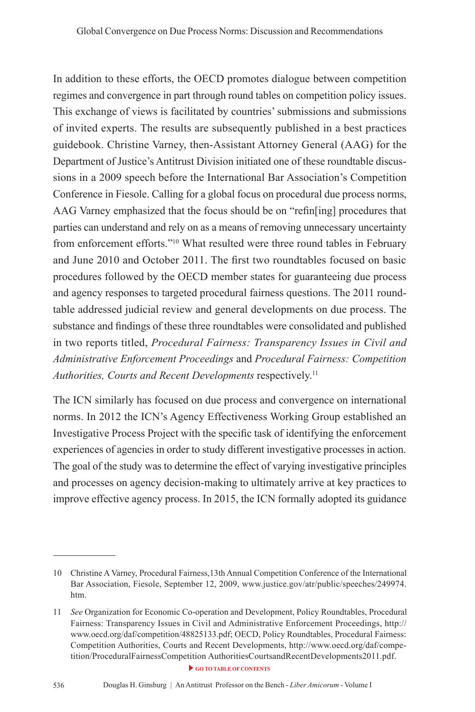In addition to these efforts, the OECD promotes dialogue between competition regimes and convergence in part through round tables on competition policy issues. This exchange of views is facilitated by countries' submissions and submissions of invited experts. The results are subsequently published in a best practices guidebook. Christine Varney, then-Assistant Attorney General (AAG) for the Department of Justice's Antitrust Division initiated one of these roundtable discussions in a 2009 speech before the International Bar Association's Competition Conference in Fiesole. Calling for a global focus on procedural due process norms, AAG Varney emphasized that the focus should be on "refn[ing] procedures that parties can understand and rely on as a means of removing unnecessary uncertainty from enforcement efforts."10 What resulted were three round tables in February and June 2010 and October 2011. The frst two roundtables focused on basic procedures followed by the OECD member states for guaranteeing due process and agency responses to targeted procedural fairness questions. The 2011 roundtable addressed judicial review and general developments on due process. The substance and fndings of these three roundtables were consolidated and published in two reports titled, *Procedural Fairness: Transparency Issues in Civil and Administrative Enforcement Proceedings* and *Procedural Fairness: Competition Authorities, Courts and Recent Developments* respectively.11

The ICN similarly has focused on due process and convergence on international norms. In 2012 the ICN's Agency Effectiveness Working Group established an Investigative Process Project with the specifc task of identifying the enforcement experiences of agencies in order to study different investigative processes in action. The goal of the study was to determine the effect of varying investigative principles and processes on agency decision-making to ultimately arrive at key practices to improve effective agency process. In 2015, the ICN formally adopted its guidance

<sup>10</sup> Christine A Varney, Procedural Fairness,13th Annual Competition Conference of the International Bar Association, Fiesole, September 12, 2009, www.justice.gov/atr/public/speeches/249974. htm.

**[GO TO TABLE OF CONTENTS](#page-7-0)** 11 *See* Organization for Economic Co-operation and Development, Policy Roundtables, Procedural Fairness: Transparency Issues in Civil and Administrative Enforcement Proceedings, http:// www.oecd.org/daf/competition/48825133.pdf; OECD, Policy Roundtables, Procedural Fairness: Competition Authorities, Courts and Recent Developments, http://www.oecd.org/daf/competition/ProceduralFairnessCompetition AuthoritiesCourtsandRecentDevelopments2011.pdf.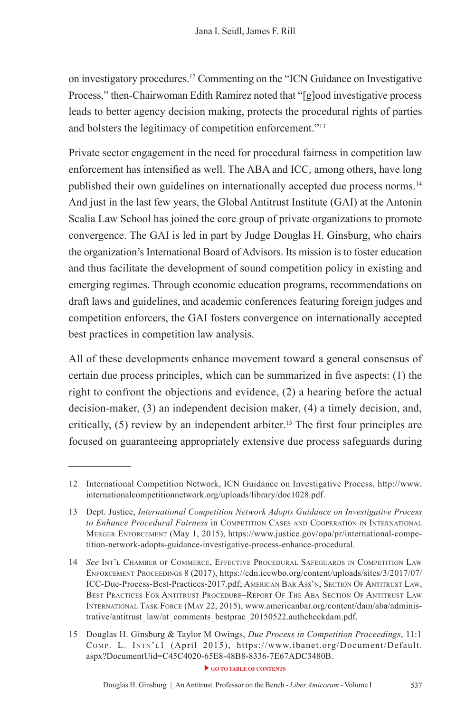on investigatory procedures.12 Commenting on the "ICN Guidance on Investigative Process," then-Chairwoman Edith Ramirez noted that "[g]ood investigative process leads to better agency decision making, protects the procedural rights of parties and bolsters the legitimacy of competition enforcement."13

Private sector engagement in the need for procedural fairness in competition law enforcement has intensifed as well. The ABA and ICC, among others, have long published their own guidelines on internationally accepted due process norms.14 And just in the last few years, the Global Antitrust Institute (GAI) at the Antonin Scalia Law School has joined the core group of private organizations to promote convergence. The GAI is led in part by Judge Douglas H. Ginsburg, who chairs the organization's International Board of Advisors. Its mission is to foster education and thus facilitate the development of sound competition policy in existing and emerging regimes. Through economic education programs, recommendations on draft laws and guidelines, and academic conferences featuring foreign judges and competition enforcers, the GAI fosters convergence on internationally accepted best practices in competition law analysis.

All of these developments enhance movement toward a general consensus of certain due process principles, which can be summarized in fve aspects: (1) the right to confront the objections and evidence, (2) a hearing before the actual decision-maker, (3) an independent decision maker, (4) a timely decision, and, critically,  $(5)$  review by an independent arbiter.<sup>15</sup> The first four principles are focused on guaranteeing appropriately extensive due process safeguards during

<sup>12</sup> International Competition Network, ICN Guidance on Investigative Process, http://www. internationalcompetitionnetwork.org/uploads/library/doc1028.pdf.

<sup>13</sup> Dept. Justice, *International Competition Network Adopts Guidance on Investigative Process*  to Enhance Procedural Fairness in COMPETITION CASES AND COOPERATION IN INTERNATIONAL mErgEr EnforCEmEnt (May 1, 2015), https://www.justice.gov/opa/pr/international-competition-network-adopts-guidance-investigative-process-enhance-procedural.

<sup>14</sup> *See* int'l ChambEr of CommErCE, EffECtivE proCEdural safEguards in CompEtition laW EnforCEmEnt proCEEdings 8 (2017), https://cdn.iccwbo.org/content/uploads/sites/3/2017/07/ ICC-Due-Process-Best-Practices-2017.pdf; AMERICAN BAR Ass'N, SECTION OF ANTITRUST LAW, BEST PRACTICES FOR ANTITRUST PROCEDURE–REPORT OF THE ABA SECTION OF ANTITRUST LAW INTERNATIONAL TASK FORCE (MAY 22, 2015), www.americanbar.org/content/dam/aba/administrative/antitrust\_law/at\_comments\_bestprac\_20150522.authcheckdam.pdf.

<sup>15</sup> Douglas H. Ginsburg & Taylor M Owings, *Due Process in Competition Proceedings*, 11:1 Comp. l. intn'l1 (April 2015), https://www.ibanet.org/Document/Default. aspx?DocumentUid=C45C4020-65E8-48B8-8336-7E67ADC3480B.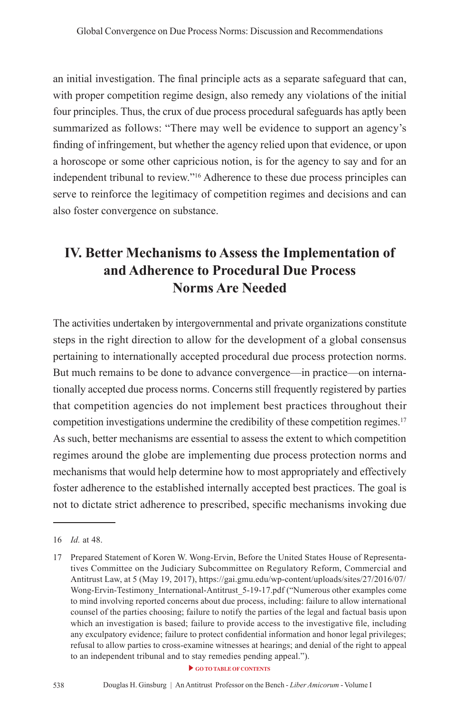an initial investigation. The fnal principle acts as a separate safeguard that can, with proper competition regime design, also remedy any violations of the initial four principles. Thus, the crux of due process procedural safeguards has aptly been summarized as follows: "There may well be evidence to support an agency's fnding of infringement, but whether the agency relied upon that evidence, or upon a horoscope or some other capricious notion, is for the agency to say and for an independent tribunal to review."16 Adherence to these due process principles can serve to reinforce the legitimacy of competition regimes and decisions and can also foster convergence on substance.

## **IV. Better Mechanisms to Assess the Implementation of and Adherence to Procedural Due Process Norms Are Needed**

The activities undertaken by intergovernmental and private organizations constitute steps in the right direction to allow for the development of a global consensus pertaining to internationally accepted procedural due process protection norms. But much remains to be done to advance convergence—in practice—on internationally accepted due process norms. Concerns still frequently registered by parties that competition agencies do not implement best practices throughout their competition investigations undermine the credibility of these competition regimes.17 As such, better mechanisms are essential to assess the extent to which competition regimes around the globe are implementing due process protection norms and mechanisms that would help determine how to most appropriately and effectively foster adherence to the established internally accepted best practices. The goal is not to dictate strict adherence to prescribed, specifc mechanisms invoking due

<sup>16</sup> *Id.* at 48.

<sup>17</sup> Prepared Statement of Koren W. Wong-Ervin, Before the United States House of Representatives Committee on the Judiciary Subcommittee on Regulatory Reform, Commercial and Antitrust Law, at 5 (May 19, 2017), https://gai.gmu.edu/wp-content/uploads/sites/27/2016/07/ Wong-Ervin-Testimony International-Antitrust 5-19-17.pdf ("Numerous other examples come to mind involving reported concerns about due process, including: failure to allow international counsel of the parties choosing; failure to notify the parties of the legal and factual basis upon which an investigation is based; failure to provide access to the investigative fle, including any exculpatory evidence; failure to protect confdential information and honor legal privileges; refusal to allow parties to cross-examine witnesses at hearings; and denial of the right to appeal to an independent tribunal and to stay remedies pending appeal.").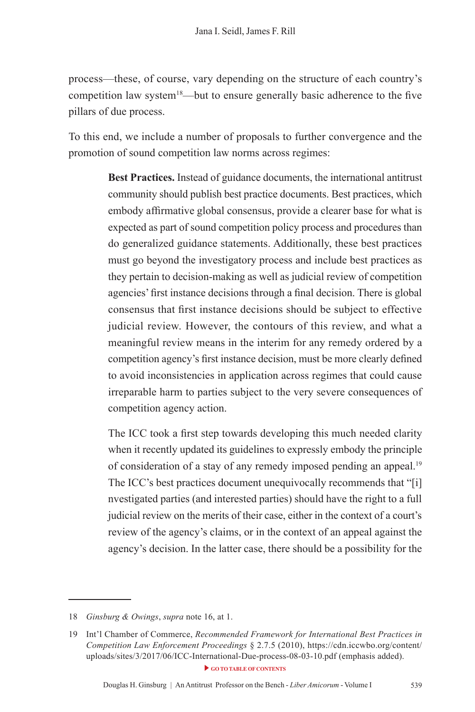process—these, of course, vary depending on the structure of each country's competition law system<sup>18</sup>—but to ensure generally basic adherence to the five pillars of due process.

To this end, we include a number of proposals to further convergence and the promotion of sound competition law norms across regimes:

> **Best Practices.** Instead of guidance documents, the international antitrust community should publish best practice documents. Best practices, which embody affrmative global consensus, provide a clearer base for what is expected as part of sound competition policy process and procedures than do generalized guidance statements. Additionally, these best practices must go beyond the investigatory process and include best practices as they pertain to decision-making as well as judicial review of competition agencies' frst instance decisions through a fnal decision. There is global consensus that frst instance decisions should be subject to effective judicial review. However, the contours of this review, and what a meaningful review means in the interim for any remedy ordered by a competition agency's frst instance decision, must be more clearly defned to avoid inconsistencies in application across regimes that could cause irreparable harm to parties subject to the very severe consequences of competition agency action.

> The ICC took a frst step towards developing this much needed clarity when it recently updated its guidelines to expressly embody the principle of consideration of a stay of any remedy imposed pending an appeal.<sup>19</sup> The ICC's best practices document unequivocally recommends that "[i] nvestigated parties (and interested parties) should have the right to a full judicial review on the merits of their case, either in the context of a court's review of the agency's claims, or in the context of an appeal against the agency's decision. In the latter case, there should be a possibility for the

<sup>18</sup> *Ginsburg & Owings*, *supra* note 16, at 1.

GO TO TABLE OF CONTENTS 19 Int'l Chamber of Commerce, *Recommended Framework for International Best Practices in Competition Law Enforcement Proceedings* § 2.7.5 (2010), https://cdn.iccwbo.org/content/ uploads/sites/3/2017/06/ICC-International-Due-process-08-03-10.pdf (emphasis added).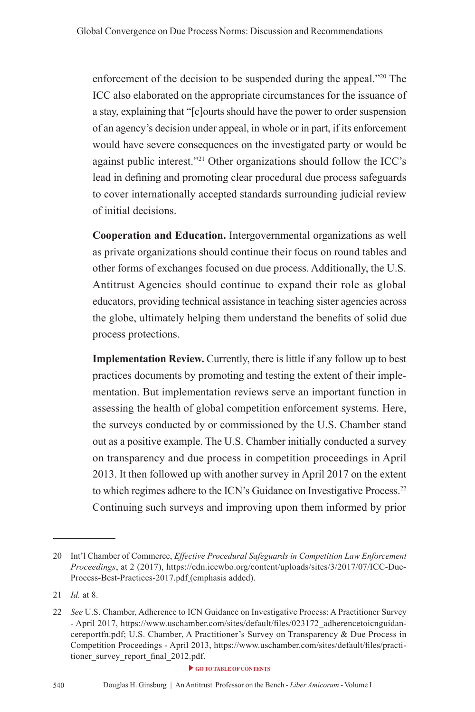enforcement of the decision to be suspended during the appeal."20 The ICC also elaborated on the appropriate circumstances for the issuance of a stay, explaining that "[c]ourts should have the power to order suspension of an agency's decision under appeal, in whole or in part, if its enforcement would have severe consequences on the investigated party or would be against public interest."21 Other organizations should follow the ICC's lead in defning and promoting clear procedural due process safeguards to cover internationally accepted standards surrounding judicial review of initial decisions.

**Cooperation and Education.** Intergovernmental organizations as well as private organizations should continue their focus on round tables and other forms of exchanges focused on due process. Additionally, the U.S. Antitrust Agencies should continue to expand their role as global educators, providing technical assistance in teaching sister agencies across the globe, ultimately helping them understand the benefts of solid due process protections.

**Implementation Review.** Currently, there is little if any follow up to best practices documents by promoting and testing the extent of their implementation. But implementation reviews serve an important function in assessing the health of global competition enforcement systems. Here, the surveys conducted by or commissioned by the U.S. Chamber stand out as a positive example. The U.S. Chamber initially conducted a survey on transparency and due process in competition proceedings in April 2013. It then followed up with another survey in April 2017 on the extent to which regimes adhere to the ICN's Guidance on Investigative Process.22 Continuing such surveys and improving upon them informed by prior

<sup>20</sup> Int'l Chamber of Commerce, *Effective Procedural Safeguards in Competition Law Enforcement Proceedings*, at 2 (2017), https://cdn.iccwbo.org/content/uploads/sites/3/2017/07/ICC-Due-Process-Best-Practices-2017.pdf (emphasis added).

<sup>21</sup> *Id.* at 8.

<sup>22</sup> *See* U.S. Chamber, Adherence to ICN Guidance on Investigative Process: A Practitioner Survey - April 2017, https://www.uschamber.com/sites/default/fles/023172\_adherencetoicnguidancereportfn.pdf; U.S. Chamber, A Practitioner's Survey on Transparency & Due Process in Competition Proceedings - April 2013, https://www.uschamber.com/sites/default/fles/practitioner\_survey\_report\_fnal\_2012.pdf.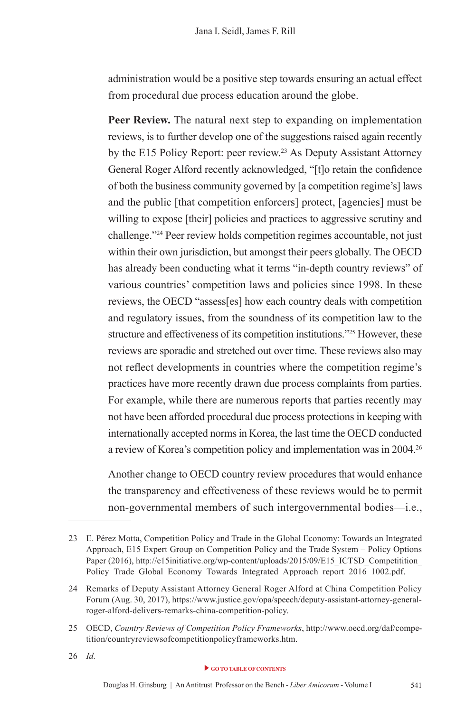administration would be a positive step towards ensuring an actual effect from procedural due process education around the globe.

**Peer Review.** The natural next step to expanding on implementation reviews, is to further develop one of the suggestions raised again recently by the E15 Policy Report: peer review.<sup>23</sup> As Deputy Assistant Attorney General Roger Alford recently acknowledged, "[t]o retain the confdence of both the business community governed by [a competition regime's] laws and the public [that competition enforcers] protect, [agencies] must be willing to expose [their] policies and practices to aggressive scrutiny and challenge."24 Peer review holds competition regimes accountable, not just within their own jurisdiction, but amongst their peers globally. The OECD has already been conducting what it terms "in-depth country reviews" of various countries' competition laws and policies since 1998. In these reviews, the OECD "assess[es] how each country deals with competition and regulatory issues, from the soundness of its competition law to the structure and effectiveness of its competition institutions."25 However, these reviews are sporadic and stretched out over time. These reviews also may not refect developments in countries where the competition regime's practices have more recently drawn due process complaints from parties. For example, while there are numerous reports that parties recently may not have been afforded procedural due process protections in keeping with internationally accepted norms in Korea, the last time the OECD conducted a review of Korea's competition policy and implementation was in 2004.26

Another change to OECD country review procedures that would enhance the transparency and effectiveness of these reviews would be to permit non-governmental members of such intergovernmental bodies—i.e.,

<sup>23</sup> E. Pérez Motta, Competition Policy and Trade in the Global Economy: Towards an Integrated Approach, E15 Expert Group on Competition Policy and the Trade System – Policy Options Paper (2016), http://e15initiative.org/wp-content/uploads/2015/09/E15\_ICTSD\_Competitition Policy\_Trade\_Global\_Economy\_Towards\_Integrated\_Approach\_report\_2016\_1002.pdf.

<sup>24</sup> Remarks of Deputy Assistant Attorney General Roger Alford at China Competition Policy Forum (Aug. 30, 2017), https://www.justice.gov/opa/speech/deputy-assistant-attorney-generalroger-alford-delivers-remarks-china-competition-policy.

<sup>25</sup> OECD, *Country Reviews of Competition Policy Frameworks*, http://www.oecd.org/daf/competition/countryreviewsofcompetitionpolicyframeworks.htm.

<sup>26</sup> *Id.*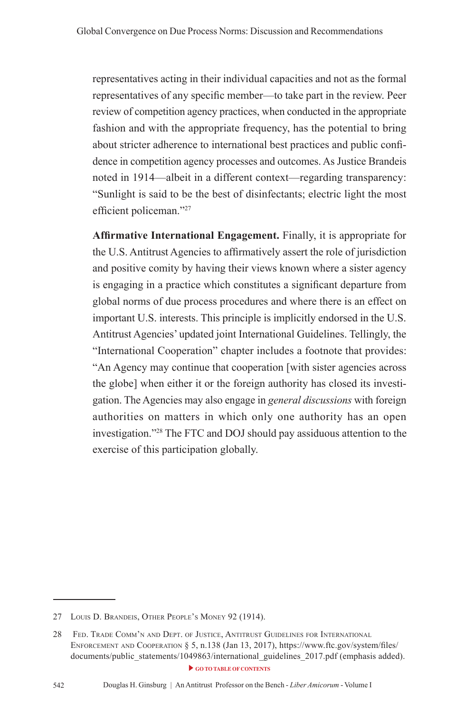representatives acting in their individual capacities and not as the formal representatives of any specifc member—to take part in the review. Peer review of competition agency practices, when conducted in the appropriate fashion and with the appropriate frequency, has the potential to bring about stricter adherence to international best practices and public confdence in competition agency processes and outcomes. As Justice Brandeis noted in 1914—albeit in a different context—regarding transparency: "Sunlight is said to be the best of disinfectants; electric light the most efficient policeman."27

**Affrmative International Engagement.** Finally, it is appropriate for the U.S. Antitrust Agencies to affrmatively assert the role of jurisdiction and positive comity by having their views known where a sister agency is engaging in a practice which constitutes a signifcant departure from global norms of due process procedures and where there is an effect on important U.S. interests. This principle is implicitly endorsed in the U.S. Antitrust Agencies' updated joint International Guidelines. Tellingly, the "International Cooperation" chapter includes a footnote that provides: "An Agency may continue that cooperation [with sister agencies across the globe] when either it or the foreign authority has closed its investigation. The Agencies may also engage in *general discussions* with foreign authorities on matters in which only one authority has an open investigation."28 The FTC and DOJ should pay assiduous attention to the exercise of this participation globally.

<sup>27</sup> LOUIS D. BRANDEIS, OTHER PEOPLE'S MONEY 92 (1914).

**[GO TO TABLE OF CONTENTS](#page-7-0)** 28 FED. TRADE COMM'N AND DEPT. OF JUSTICE, ANTITRUST GUIDELINES FOR INTERNATIONAL EnforCEmEnt and CoopEration § 5, n.138 (Jan 13, 2017), https://www.ftc.gov/system/fles/ documents/public\_statements/1049863/international\_guidelines\_2017.pdf (emphasis added).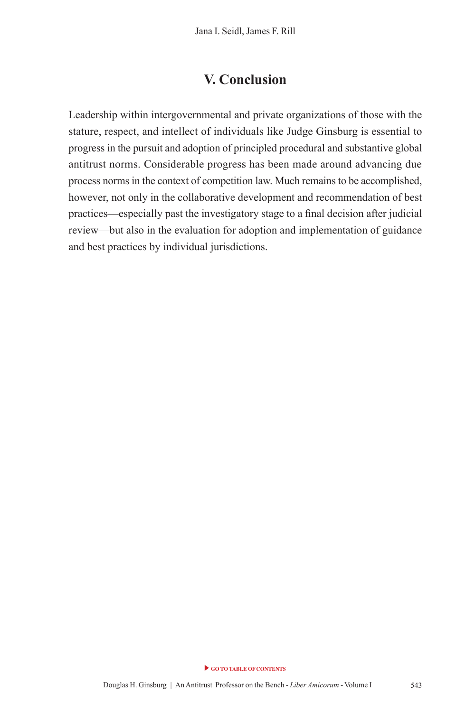#### **V. Conclusion**

Leadership within intergovernmental and private organizations of those with the stature, respect, and intellect of individuals like Judge Ginsburg is essential to progress in the pursuit and adoption of principled procedural and substantive global antitrust norms. Considerable progress has been made around advancing due process norms in the context of competition law. Much remains to be accomplished, however, not only in the collaborative development and recommendation of best practices—especially past the investigatory stage to a fnal decision after judicial review—but also in the evaluation for adoption and implementation of guidance and best practices by individual jurisdictions.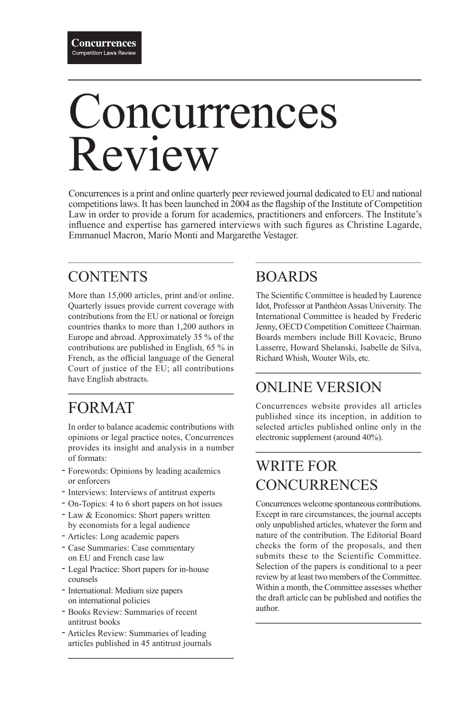# Concurrences Review

Concurrences is a print and online quarterly peer reviewed journal dedicated to EU and national competitions laws. It has been launched in 2004 as the fagship of the Institute of Competition Law in order to provide a forum for academics, practitioners and enforcers. The Institute's infuence and expertise has garnered interviews with such fgures as Christine Lagarde, Emmanuel Macron, Mario Monti and Margarethe Vestager.

## **CONTENTS**

More than 15,000 articles, print and/or online. Quarterly issues provide current coverage with contributions from the EU or national or foreign countries thanks to more than 1,200 authors in Europe and abroad. Approximately 35 % of the contributions are published in English, 65 % in French, as the official language of the General Court of justice of the EU; all contributions have English abstracts.

## FORMAT

In order to balance academic contributions with opinions or legal practice notes, Concurrences provides its insight and analysis in a number of formats:

- Forewords: Opinions by leading academics or enforcers
- Interviews: Interviews of antitrust experts
- On-Topics: 4 to 6 short papers on hot issues -
- Law & Economics: Short papers written by economists for a legal audience
- Articles: Long academic papers -
- Case Summaries: Case commentary on EU and French case law
- Legal Practice: Short papers for in-house counsels
- International: Medium size papers on international policies
- Books Review: Summaries of recent antitrust books
- Articles Review: Summaries of leading articles published in 45 antitrust journals

## BOARDS

The Scientifc Committee is headed by Laurence Idot, Professor at Panthéon Assas University. The International Committee is headed by Frederic Jenny, OECD Competition Comitteee Chairman. Boards members include Bill Kovacic, Bruno Lasserre, Howard Shelanski, Isabelle de Silva, Richard Whish, Wouter Wils, etc.

## ONLINE VERSION

Concurrences website provides all articles published since its inception, in addition to selected articles published online only in the electronic supplement (around 40%).

## WRITE FOR **CONCURRENCES**

Concurrences welcome spontaneous contributions. Except in rare circumstances, the journal accepts only unpublished articles, whatever the form and nature of the contribution. The Editorial Board checks the form of the proposals, and then submits these to the Scientific Committee. Selection of the papers is conditional to a peer review by at least two members of the Committee. Within a month, the Committee assesses whether the draft article can be published and notifes the author.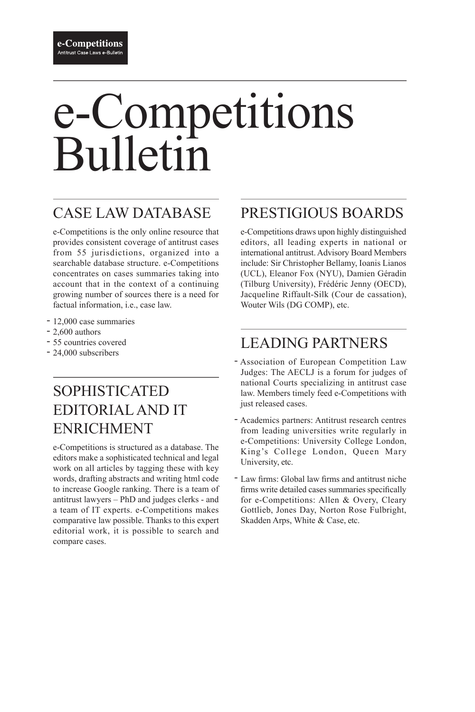# e-Competitions Bulletin

## CASE LAW DATABASE

e-Competitions is the only online resource that provides consistent coverage of antitrust cases from 55 jurisdictions, organized into a searchable database structure. e-Competitions concentrates on cases summaries taking into account that in the context of a continuing growing number of sources there is a need for factual information, i.e., case law.

- 12,000 case summaries
- $-2,600$  authors
- 55 countries covered
- 24,000 subscribers

## SOPHISTICATED EDITORIAL AND IT ENRICHMENT

e-Competitions is structured as a database. The editors make a sophisticated technical and legal work on all articles by tagging these with key words, drafting abstracts and writing html code to increase Google ranking. There is a team of antitrust lawyers – PhD and judges clerks - and a team of IT experts. e-Competitions makes comparative law possible. Thanks to this expert editorial work, it is possible to search and compare cases.

## PRESTIGIOUS BOARDS

e-Competitions draws upon highly distinguished editors, all leading experts in national or international antitrust. Advisory Board Members include: Sir Christopher Bellamy, Ioanis Lianos (UCL), Eleanor Fox (NYU), Damien Géradin (Tilburg University), Frédéric Jenny (OECD), Jacqueline Riffault-Silk (Cour de cassation), Wouter Wils (DG COMP), etc.

## LEADING PARTNERS

- Association of European Competition Law Judges: The AECLJ is a forum for judges of national Courts specializing in antitrust case law. Members timely feed e-Competitions with just released cases.
- Academics partners: Antitrust research centres from leading universities write regularly in e-Competitions: University College London, King's College London, Queen Mary University, etc.
- Law firms: Global law firms and antitrust niche frms write detailed cases summaries specifcally for e-Competitions: Allen & Overy, Cleary Gottlieb, Jones Day, Norton Rose Fulbright, Skadden Arps, White & Case, etc.